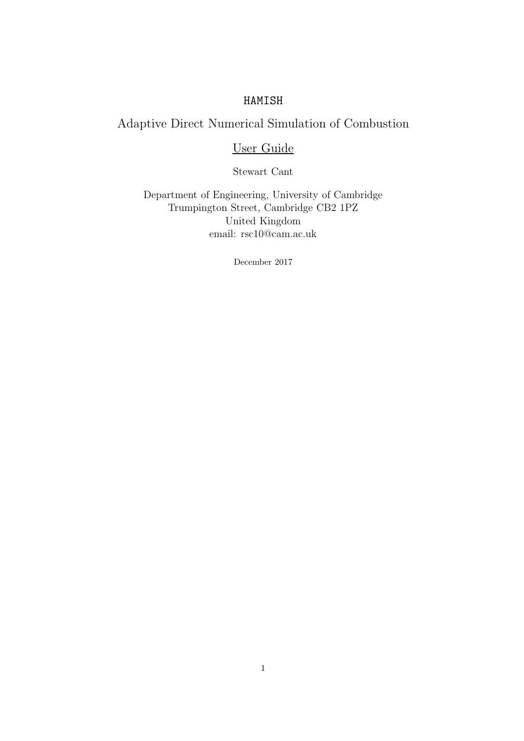# HAMISH

# Adaptive Direct Numerical Simulation of Combustion

# User Guide

Stewart Cant

Department of Engineering, University of Cambridge Trumpington Street, Cambridge CB2 1PZ United Kingdom email: rsc10@cam.ac.uk

December 2017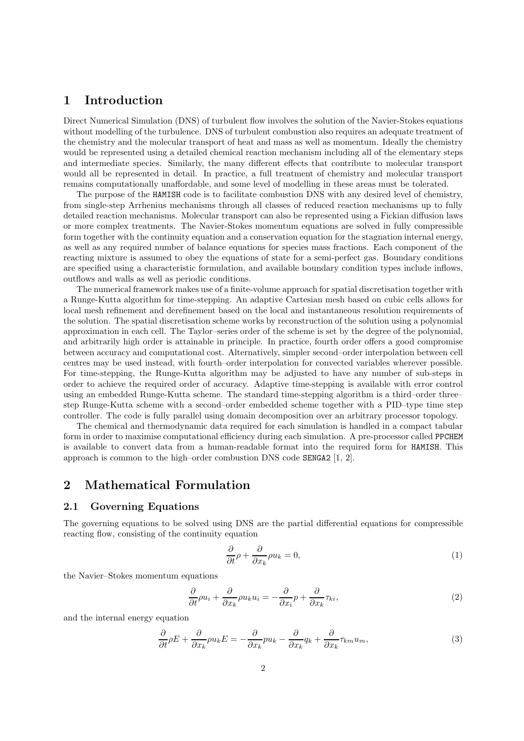# 1 Introduction

Direct Numerical Simulation (DNS) of turbulent flow involves the solution of the Navier-Stokes equations without modelling of the turbulence. DNS of turbulent combustion also requires an adequate treatment of the chemistry and the molecular transport of heat and mass as well as momentum. Ideally the chemistry would be represented using a detailed chemical reaction mechanism including all of the elementary steps and intermediate species. Similarly, the many different effects that contribute to molecular transport would all be represented in detail. In practice, a full treatment of chemistry and molecular transport remains computationally unaffordable, and some level of modelling in these areas must be tolerated.

The purpose of the HAMISH code is to facilitate combustion DNS with any desired level of chemistry, from single-step Arrhenius mechanisms through all classes of reduced reaction mechanisms up to fully detailed reaction mechanisms. Molecular transport can also be represented using a Fickian diffusion laws or more complex treatments. The Navier-Stokes momentum equations are solved in fully compressible form together with the continuity equation and a conservation equation for the stagnation internal energy, as well as any required number of balance equations for species mass fractions. Each component of the reacting mixture is assumed to obey the equations of state for a semi-perfect gas. Boundary conditions are specified using a characteristic formulation, and available boundary condition types include inflows, outflows and walls as well as periodic conditions.

The numerical framework makes use of a finite-volume approach for spatial discretisation together with a Runge-Kutta algorithm for time-stepping. An adaptive Cartesian mesh based on cubic cells allows for local mesh refinement and derefinement based on the local and instantaneous resolution requirements of the solution. The spatial discretisation scheme works by reconstruction of the solution using a polynomial approximation in each cell. The Taylor–series order of the scheme is set by the degree of the polynomial, and arbitrarily high order is attainable in principle. In practice, fourth order offers a good compromise between accuracy and computational cost. Alternatively, simpler second–order interpolation between cell centres may be used instead, with fourth–order interpolation for convected variables wherever possible. For time-stepping, the Runge-Kutta algorithm may be adjusted to have any number of sub-steps in order to achieve the required order of accuracy. Adaptive time-stepping is available with error control using an embedded Runge-Kutta scheme. The standard time-stepping algorithm is a third–order three– step Runge-Kutta scheme with a second–order embedded scheme together with a PID–type time step controller. The code is fully parallel using domain decomposition over an arbitrary processor topology.

The chemical and thermodynamic data required for each simulation is handled in a compact tabular form in order to maximise computational efficiency during each simulation. A pre-processor called PPCHEM is available to convert data from a human-readable format into the required form for HAMISH. This approach is common to the high–order combustion DNS code SENGA2 [1, 2].

# 2 Mathematical Formulation

### 2.1 Governing Equations

The governing equations to be solved using DNS are the partial differential equations for compressible reacting flow, consisting of the continuity equation

$$
\frac{\partial}{\partial t}\rho + \frac{\partial}{\partial x_k}\rho u_k = 0,\tag{1}
$$

the Navier–Stokes momentum equations

$$
\frac{\partial}{\partial t}\rho u_i + \frac{\partial}{\partial x_k}\rho u_k u_i = -\frac{\partial}{\partial x_i}p + \frac{\partial}{\partial x_k}\tau_{ki},\tag{2}
$$

and the internal energy equation

$$
\frac{\partial}{\partial t}\rho E + \frac{\partial}{\partial x_k}\rho u_k E = -\frac{\partial}{\partial x_k}pu_k - \frac{\partial}{\partial x_k}q_k + \frac{\partial}{\partial x_k}\tau_{km}u_m,\tag{3}
$$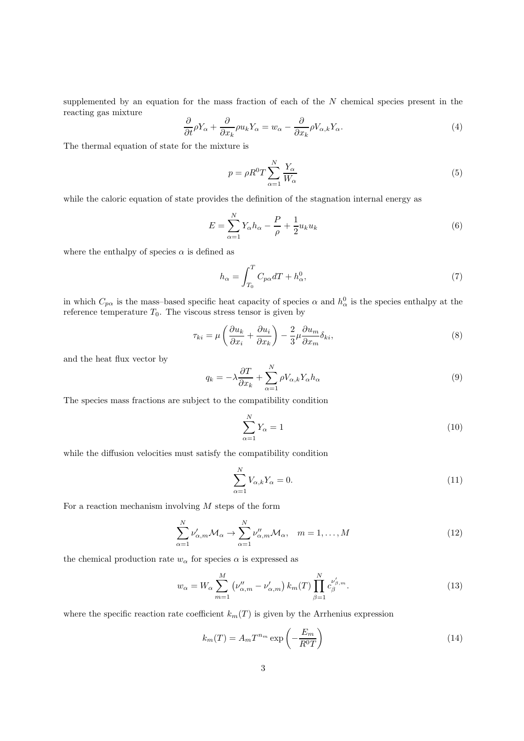supplemented by an equation for the mass fraction of each of the  $N$  chemical species present in the reacting gas mixture

$$
\frac{\partial}{\partial t}\rho Y_{\alpha} + \frac{\partial}{\partial x_{k}}\rho u_{k}Y_{\alpha} = w_{\alpha} - \frac{\partial}{\partial x_{k}}\rho V_{\alpha,k}Y_{\alpha}.
$$
\n(4)

The thermal equation of state for the mixture is

$$
p = \rho R^0 T \sum_{\alpha=1}^N \frac{Y_{\alpha}}{W_{\alpha}}
$$
\n<sup>(5)</sup>

while the caloric equation of state provides the definition of the stagnation internal energy as

$$
E = \sum_{\alpha=1}^{N} Y_{\alpha} h_{\alpha} - \frac{P}{\rho} + \frac{1}{2} u_k u_k
$$
\n<sup>(6)</sup>

where the enthalpy of species  $\alpha$  is defined as

$$
h_{\alpha} = \int_{T_0}^{T} C_{p\alpha} dT + h_{\alpha}^0,
$$
\n(7)

in which  $C_{p\alpha}$  is the mass-based specific heat capacity of species  $\alpha$  and  $h^0_\alpha$  is the species enthalpy at the reference temperature  $T_0$ . The viscous stress tensor is given by

$$
\tau_{ki} = \mu \left( \frac{\partial u_k}{\partial x_i} + \frac{\partial u_i}{\partial x_k} \right) - \frac{2}{3} \mu \frac{\partial u_m}{\partial x_m} \delta_{ki},\tag{8}
$$

and the heat flux vector by

$$
q_k = -\lambda \frac{\partial T}{\partial x_k} + \sum_{\alpha=1}^N \rho V_{\alpha,k} Y_{\alpha} h_{\alpha}
$$
\n(9)

The species mass fractions are subject to the compatibility condition

$$
\sum_{\alpha=1}^{N} Y_{\alpha} = 1 \tag{10}
$$

while the diffusion velocities must satisfy the compatibility condition

$$
\sum_{\alpha=1}^{N} V_{\alpha,k} Y_{\alpha} = 0.
$$
\n(11)

For a reaction mechanism involving  $M$  steps of the form

$$
\sum_{\alpha=1}^{N} \nu'_{\alpha,m} \mathcal{M}_{\alpha} \to \sum_{\alpha=1}^{N} \nu''_{\alpha,m} \mathcal{M}_{\alpha}, \quad m = 1, \dots, M
$$
\n(12)

the chemical production rate  $w_{\alpha}$  for species  $\alpha$  is expressed as

$$
w_{\alpha} = W_{\alpha} \sum_{m=1}^{M} \left( \nu_{\alpha,m}'' - \nu_{\alpha,m}' \right) k_m(T) \prod_{\beta=1}^{N} c_{\beta}^{\nu_{\beta,m}'}.
$$
 (13)

where the specific reaction rate coefficient  $k_m(T)$  is given by the Arrhenius expression

$$
k_m(T) = A_m T^{n_m} \exp\left(-\frac{E_m}{R^0 T}\right) \tag{14}
$$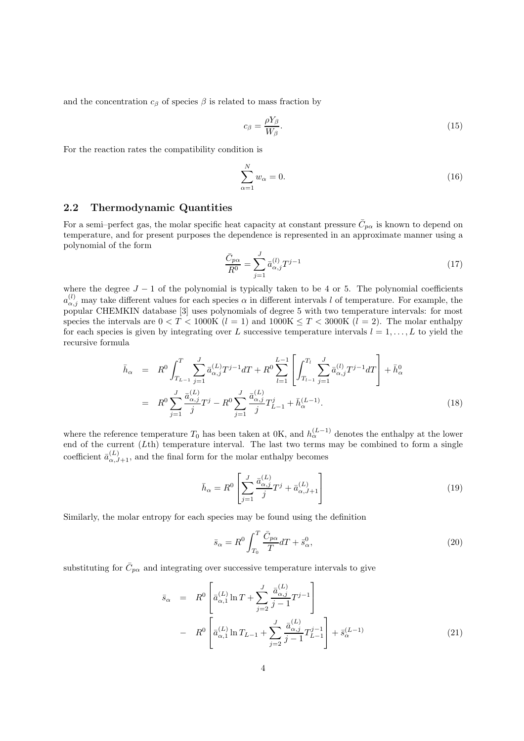and the concentration  $c_{\beta}$  of species  $\beta$  is related to mass fraction by

$$
c_{\beta} = \frac{\rho Y_{\beta}}{W_{\beta}}.\tag{15}
$$

For the reaction rates the compatibility condition is

$$
\sum_{\alpha=1}^{N} w_{\alpha} = 0. \tag{16}
$$

### 2.2 Thermodynamic Quantities

For a semi–perfect gas, the molar specific heat capacity at constant pressure  $\bar{C}_{p\alpha}$  is known to depend on temperature, and for present purposes the dependence is represented in an approximate manner using a polynomial of the form

$$
\frac{\bar{C}_{p\alpha}}{R^0} = \sum_{j=1}^{J} \bar{a}^{(l)}_{\alpha,j} T^{j-1}
$$
\n(17)

where the degree  $J - 1$  of the polynomial is typically taken to be 4 or 5. The polynomial coefficients  $a_{\alpha,j}^{(l)}$  may take different values for each species  $\alpha$  in different intervals l of temperature. For example, the popular CHEMKIN database [3] uses polynomials of degree 5 with two temperature intervals: for most species the intervals are  $0 < T < 1000$ K  $(l = 1)$  and  $1000$ K  $\leq T < 3000$ K  $(l = 2)$ . The molar enthalpy for each species is given by integrating over L successive temperature intervals  $l = 1, \ldots, L$  to yield the recursive formula

$$
\bar{h}_{\alpha} = R^{0} \int_{T_{L-1}}^{T} \sum_{j=1}^{J} \bar{a}_{\alpha,j}^{(L)} T^{j-1} dT + R^{0} \sum_{l=1}^{L-1} \left[ \int_{T_{l-1}}^{T_{l}} \sum_{j=1}^{J} \bar{a}_{\alpha,j}^{(l)} T^{j-1} dT \right] + \bar{h}_{\alpha}^{0}
$$
\n
$$
= R^{0} \sum_{j=1}^{J} \frac{\bar{a}_{\alpha,j}^{(L)}}{j} T^{j} - R^{0} \sum_{j=1}^{J} \frac{\bar{a}_{\alpha,j}^{(L)}}{j} T^{j}_{L-1} + \bar{h}_{\alpha}^{(L-1)}.
$$
\n(18)

where the reference temperature  $T_0$  has been taken at 0K, and  $h_\alpha^{(L-1)}$  denotes the enthalpy at the lower end of the current (Lth) temperature interval. The last two terms may be combined to form a single coefficient  $\bar{a}^{(L)}_{\alpha,J+1}$ , and the final form for the molar enthalpy becomes

$$
\bar{h}_{\alpha} = R^0 \left[ \sum_{j=1}^{J} \frac{\bar{a}_{\alpha,j}^{(L)}}{j} T^j + \bar{a}_{\alpha,J+1}^{(L)} \right]
$$
\n(19)

Similarly, the molar entropy for each species may be found using the definition

$$
\bar{s}_{\alpha} = R^0 \int_{T_0}^{T} \frac{\bar{C}_{p\alpha}}{T} dT + \bar{s}_{\alpha}^0,\tag{20}
$$

substituting for  $\bar{C}_{p\alpha}$  and integrating over successive temperature intervals to give

$$
\bar{s}_{\alpha} = R^{0} \left[ \bar{a}^{(L)}_{\alpha,1} \ln T + \sum_{j=2}^{J} \frac{\bar{a}^{(L)}_{\alpha,j}}{j-1} T^{j-1} \right] \n- R^{0} \left[ \bar{a}^{(L)}_{\alpha,1} \ln T_{L-1} + \sum_{j=2}^{J} \frac{\bar{a}^{(L)}_{\alpha,j}}{j-1} T^{j-1}_{L-1} \right] + \bar{s}^{(L-1)}_{\alpha}
$$
\n(21)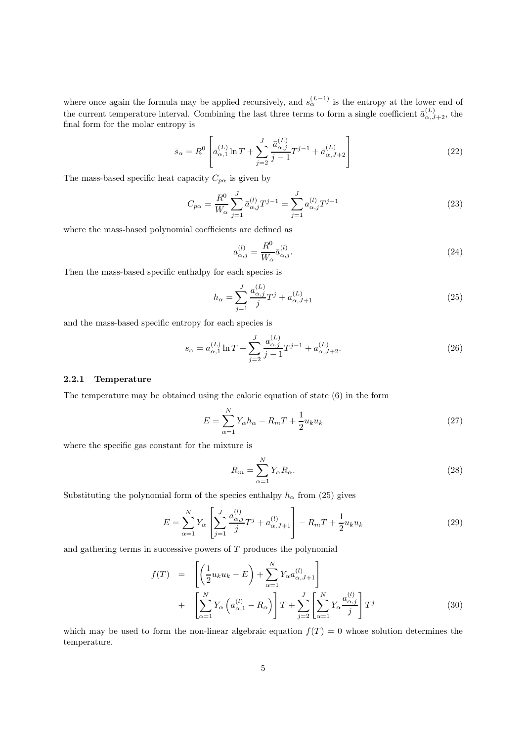where once again the formula may be applied recursively, and  $s_{\alpha}^{(L-1)}$  is the entropy at the lower end of the current temperature interval. Combining the last three terms to form a single coefficient  $\bar{a}^{(L)}_{\alpha,J+2}$ , the final form for the molar entropy is

$$
\bar{s}_{\alpha} = R^{0} \left[ \bar{a}_{\alpha,1}^{(L)} \ln T + \sum_{j=2}^{J} \frac{\bar{a}_{\alpha,j}^{(L)}}{j-1} T^{j-1} + \bar{a}_{\alpha,J+2}^{(L)} \right]
$$
(22)

The mass-based specific heat capacity  $C_{p\alpha}$  is given by

$$
C_{p\alpha} = \frac{R^0}{W_{\alpha}} \sum_{j=1}^{J} \bar{a}^{(l)}_{\alpha,j} T^{j-1} = \sum_{j=1}^{J} a^{(l)}_{\alpha,j} T^{j-1}
$$
\n(23)

where the mass-based polynomial coefficients are defined as

$$
a_{\alpha,j}^{(l)} = \frac{R^0}{W_\alpha} \bar{a}_{\alpha,j}^{(l)}.\tag{24}
$$

Then the mass-based specific enthalpy for each species is

$$
h_{\alpha} = \sum_{j=1}^{J} \frac{a_{\alpha,j}^{(L)}}{j} T^j + a_{\alpha,J+1}^{(L)}
$$
(25)

and the mass-based specific entropy for each species is

$$
s_{\alpha} = a_{\alpha,1}^{(L)} \ln T + \sum_{j=2}^{J} \frac{a_{\alpha,j}^{(L)}}{j-1} T^{j-1} + a_{\alpha,J+2}^{(L)}.
$$
 (26)

### 2.2.1 Temperature

The temperature may be obtained using the caloric equation of state (6) in the form

$$
E = \sum_{\alpha=1}^{N} Y_{\alpha} h_{\alpha} - R_m T + \frac{1}{2} u_k u_k
$$
\n
$$
(27)
$$

where the specific gas constant for the mixture is

$$
R_m = \sum_{\alpha=1}^{N} Y_{\alpha} R_{\alpha}.
$$
\n(28)

Substituting the polynomial form of the species enthalpy  $h_{\alpha}$  from (25) gives

$$
E = \sum_{\alpha=1}^{N} Y_{\alpha} \left[ \sum_{j=1}^{J} \frac{a_{\alpha,j}^{(l)}}{j} T^{j} + a_{\alpha,J+1}^{(l)} \right] - R_{m} T + \frac{1}{2} u_{k} u_{k}
$$
(29)

and gathering terms in successive powers of T produces the polynomial

$$
f(T) = \left[ \left( \frac{1}{2} u_k u_k - E \right) + \sum_{\alpha=1}^N Y_\alpha a_{\alpha,J+1}^{(l)} \right] + \left[ \sum_{\alpha=1}^N Y_\alpha \left( a_{\alpha,1}^{(l)} - R_\alpha \right) \right] T + \sum_{j=2}^J \left[ \sum_{\alpha=1}^N Y_\alpha \frac{a_{\alpha,j}^{(l)}}{j} \right] T^j \tag{30}
$$

which may be used to form the non-linear algebraic equation  $f(T) = 0$  whose solution determines the temperature.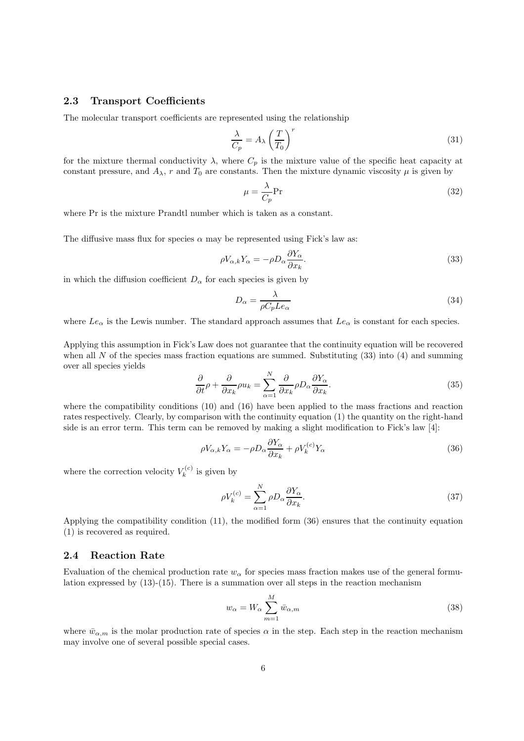### 2.3 Transport Coefficients

The molecular transport coefficients are represented using the relationship

$$
\frac{\lambda}{C_p} = A_\lambda \left(\frac{T}{T_0}\right)^r \tag{31}
$$

for the mixture thermal conductivity  $\lambda$ , where  $C_p$  is the mixture value of the specific heat capacity at constant pressure, and  $A_{\lambda}$ , r and  $T_0$  are constants. Then the mixture dynamic viscosity  $\mu$  is given by

$$
\mu = \frac{\lambda}{C_p} \text{Pr} \tag{32}
$$

where Pr is the mixture Prandtl number which is taken as a constant.

The diffusive mass flux for species  $\alpha$  may be represented using Fick's law as:

$$
\rho V_{\alpha,k} Y_{\alpha} = -\rho D_{\alpha} \frac{\partial Y_{\alpha}}{\partial x_k}.
$$
\n(33)

in which the diffusion coefficient  $D_{\alpha}$  for each species is given by

$$
D_{\alpha} = \frac{\lambda}{\rho C_p L e_{\alpha}}\tag{34}
$$

where  $Le_{\alpha}$  is the Lewis number. The standard approach assumes that  $Le_{\alpha}$  is constant for each species.

Applying this assumption in Fick's Law does not guarantee that the continuity equation will be recovered when all N of the species mass fraction equations are summed. Substituting  $(33)$  into  $(4)$  and summing over all species yields

$$
\frac{\partial}{\partial t}\rho + \frac{\partial}{\partial x_k}\rho u_k = \sum_{\alpha=1}^N \frac{\partial}{\partial x_k}\rho D_\alpha \frac{\partial Y_\alpha}{\partial x_k}.
$$
\n(35)

where the compatibility conditions (10) and (16) have been applied to the mass fractions and reaction rates respectively. Clearly, by comparison with the continuity equation (1) the quantity on the right-hand side is an error term. This term can be removed by making a slight modification to Fick's law [4]:

$$
\rho V_{\alpha,k} Y_{\alpha} = -\rho D_{\alpha} \frac{\partial Y_{\alpha}}{\partial x_k} + \rho V_k^{(c)} Y_{\alpha}
$$
\n(36)

where the correction velocity  $V_k^{(c)}$  $\kappa_k^{(c)}$  is given by

$$
\rho V_k^{(c)} = \sum_{\alpha=1}^N \rho D_\alpha \frac{\partial Y_\alpha}{\partial x_k}.
$$
\n(37)

Applying the compatibility condition (11), the modified form (36) ensures that the continuity equation (1) is recovered as required.

### 2.4 Reaction Rate

Evaluation of the chemical production rate  $w_{\alpha}$  for species mass fraction makes use of the general formulation expressed by  $(13)-(15)$ . There is a summation over all steps in the reaction mechanism

$$
w_{\alpha} = W_{\alpha} \sum_{m=1}^{M} \bar{w}_{\alpha,m} \tag{38}
$$

where  $\bar{w}_{\alpha,m}$  is the molar production rate of species  $\alpha$  in the step. Each step in the reaction mechanism may involve one of several possible special cases.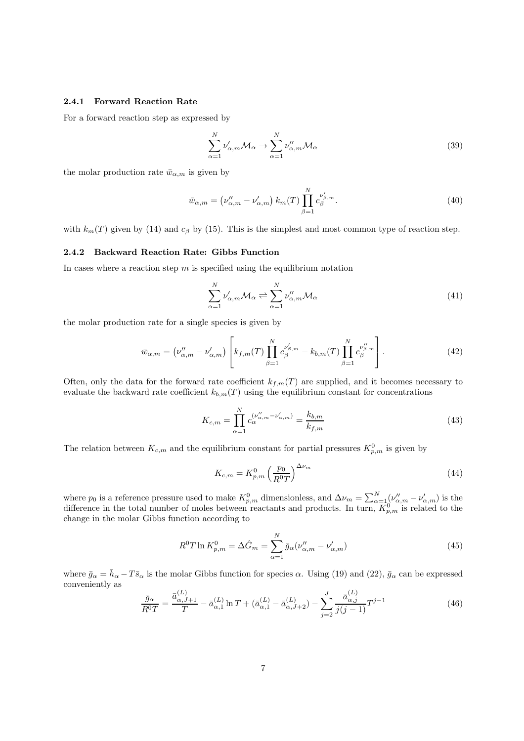### 2.4.1 Forward Reaction Rate

For a forward reaction step as expressed by

$$
\sum_{\alpha=1}^{N} \nu'_{\alpha,m} \mathcal{M}_{\alpha} \to \sum_{\alpha=1}^{N} \nu''_{\alpha,m} \mathcal{M}_{\alpha}
$$
\n(39)

the molar production rate  $\bar{w}_{\alpha,m}$  is given by

$$
\bar{w}_{\alpha,m} = (\nu''_{\alpha,m} - \nu'_{\alpha,m}) k_m(T) \prod_{\beta=1}^N c_{\beta}^{\nu'_{\beta,m}}.
$$
\n(40)

with  $k_m(T)$  given by (14) and  $c_\beta$  by (15). This is the simplest and most common type of reaction step.

### 2.4.2 Backward Reaction Rate: Gibbs Function

In cases where a reaction step  $m$  is specified using the equilibrium notation

$$
\sum_{\alpha=1}^{N} \nu'_{\alpha,m} \mathcal{M}_{\alpha} \rightleftharpoons \sum_{\alpha=1}^{N} \nu''_{\alpha,m} \mathcal{M}_{\alpha}
$$
\n(41)

the molar production rate for a single species is given by

$$
\bar{w}_{\alpha,m} = (\nu''_{\alpha,m} - \nu'_{\alpha,m}) \left[ k_{f,m}(T) \prod_{\beta=1}^N c_{\beta}^{\nu'_{\beta,m}} - k_{b,m}(T) \prod_{\beta=1}^N c_{\beta}^{\nu''_{\beta,m}} \right].
$$
\n(42)

Often, only the data for the forward rate coefficient  $k_{f,m}(T)$  are supplied, and it becomes necessary to evaluate the backward rate coefficient  $k_{b,m}(T)$  using the equilibrium constant for concentrations

$$
K_{c,m} = \prod_{\alpha=1}^{N} c_{\alpha}^{(\nu''_{\alpha,m} - \nu'_{\alpha,m})} = \frac{k_{b,m}}{k_{f,m}}
$$
(43)

The relation between  $K_{c,m}$  and the equilibrium constant for partial pressures  $K_{p,m}^0$  is given by

$$
K_{c,m} = K_{p,m}^0 \left(\frac{p_0}{R^0 T}\right)^{\Delta \nu_m} \tag{44}
$$

where  $p_0$  is a reference pressure used to make  $K_{p,m}^0$  dimensionless, and  $\Delta \nu_m = \sum_{\alpha=1}^N (\nu_{\alpha,m}^{\prime\prime} - \nu_{\alpha,m}^{\prime\prime})$  is the difference in the total number of moles between reactants and products. In turn,  $K_{p,m}^0$  is related to the change in the molar Gibbs function according to

$$
R^0 T \ln K_{p,m}^0 = \Delta \hat{G}_m = \sum_{\alpha=1}^N \bar{g}_{\alpha} (\nu_{\alpha,m}'' - \nu_{\alpha,m}') \tag{45}
$$

where  $\bar{g}_{\alpha} = \bar{h}_{\alpha} - T \bar{s}_{\alpha}$  is the molar Gibbs function for species  $\alpha$ . Using (19) and (22),  $\bar{g}_{\alpha}$  can be expressed conveniently as

$$
\frac{\bar{g}_{\alpha}}{R^{0}T} = \frac{\bar{a}_{\alpha,J+1}^{(L)}}{T} - \bar{a}_{\alpha,1}^{(L)} \ln T + (\bar{a}_{\alpha,1}^{(L)} - \bar{a}_{\alpha,J+2}^{(L)}) - \sum_{j=2}^{J} \frac{\bar{a}_{\alpha,j}^{(L)}}{j(j-1)} T^{j-1}
$$
(46)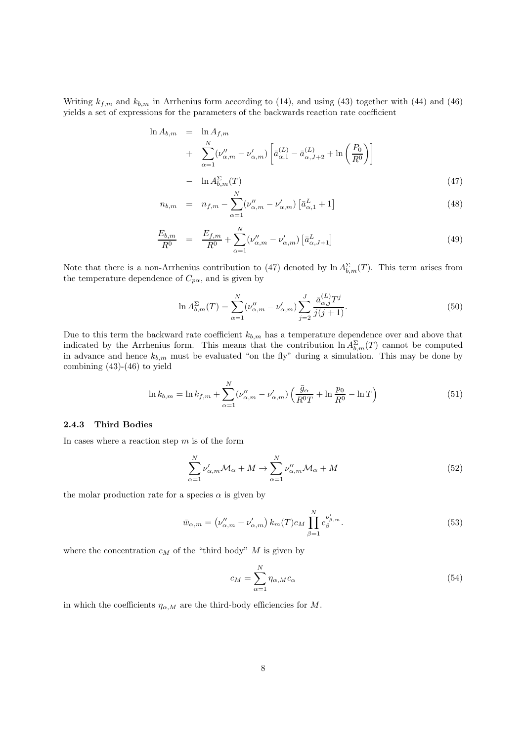Writing  $k_{f,m}$  and  $k_{b,m}$  in Arrhenius form according to (14), and using (43) together with (44) and (46) yields a set of expressions for the parameters of the backwards reaction rate coefficient

$$
\ln A_{b,m} = \ln A_{f,m} \n+ \sum_{\alpha=1}^{N} (\nu_{\alpha,m}'' - \nu_{\alpha,m}') \left[ \bar{a}_{\alpha,1}^{(L)} - \bar{a}_{\alpha,J+2}^{(L)} + \ln \left( \frac{P_0}{R^0} \right) \right] \n- \ln A_{b,m}^{\Sigma}(T)
$$
\n(47)

$$
n_{b,m} = n_{f,m} - \sum_{\alpha=1}^{N} (\nu_{\alpha,m}'' - \nu_{\alpha,m}') \left[ \bar{a}_{\alpha,1}^{L} + 1 \right]
$$
 (48)

$$
\frac{E_{b,m}}{R^0} = \frac{E_{f,m}}{R^0} + \sum_{\alpha=1}^{N} (\nu_{\alpha,m}'' - \nu_{\alpha,m}') \left[ \bar{a}_{\alpha,J+1}^L \right]
$$
(49)

Note that there is a non-Arrhenius contribution to (47) denoted by  $\ln A_{b,m}^{\Sigma}(T)$ . This term arises from the temperature dependence of  $C_{p\alpha}$ , and is given by

$$
\ln A_{b,m}^{\Sigma}(T) = \sum_{\alpha=1}^{N} (\nu_{\alpha,m}'' - \nu_{\alpha,m}') \sum_{j=2}^{J} \frac{\bar{a}_{\alpha,j}^{(L)} T^j}{j(j+1)}.
$$
\n(50)

Due to this term the backward rate coefficient  $k_{b,m}$  has a temperature dependence over and above that indicated by the Arrhenius form. This means that the contribution  $\ln A_{b,m}^{\Sigma}(T)$  cannot be computed in advance and hence  $k_{b,m}$  must be evaluated "on the fly" during a simulation. This may be done by combining (43)-(46) to yield

$$
\ln k_{b,m} = \ln k_{f,m} + \sum_{\alpha=1}^{N} (\nu_{\alpha,m}'' - \nu_{\alpha,m}') \left( \frac{\bar{g}_{\alpha}}{R^0 T} + \ln \frac{p_0}{R^0} - \ln T \right)
$$
(51)

### 2.4.3 Third Bodies

In cases where a reaction step  $m$  is of the form

$$
\sum_{\alpha=1}^{N} \nu'_{\alpha,m} \mathcal{M}_{\alpha} + M \to \sum_{\alpha=1}^{N} \nu''_{\alpha,m} \mathcal{M}_{\alpha} + M \tag{52}
$$

the molar production rate for a species  $\alpha$  is given by

$$
\bar{w}_{\alpha,m} = (\nu''_{\alpha,m} - \nu'_{\alpha,m}) k_m(T) c_M \prod_{\beta=1}^N c_{\beta}^{\nu'_{\beta,m}}.
$$
\n(53)

where the concentration  $c_M$  of the "third body" M is given by

$$
c_M = \sum_{\alpha=1}^{N} \eta_{\alpha,M} c_{\alpha} \tag{54}
$$

in which the coefficients  $\eta_{\alpha,M}$  are the third-body efficiencies for M.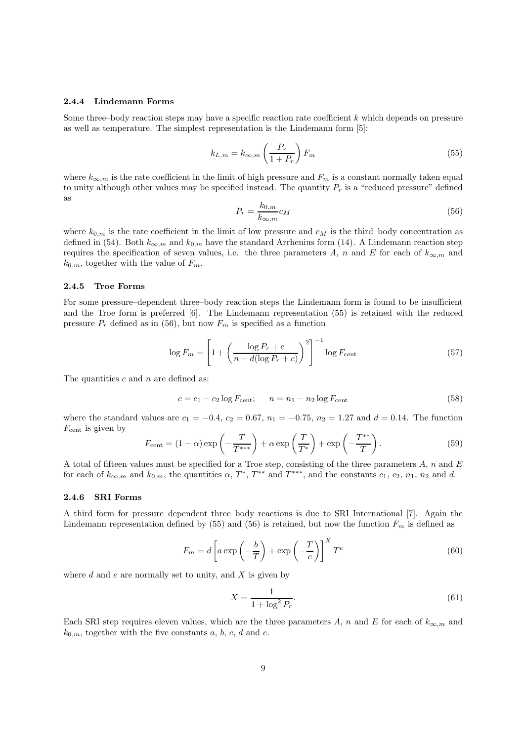### 2.4.4 Lindemann Forms

Some three–body reaction steps may have a specific reaction rate coefficient k which depends on pressure as well as temperature. The simplest representation is the Lindemann form [5]:

$$
k_{L,m} = k_{\infty,m} \left(\frac{P_r}{1+P_r}\right) F_m \tag{55}
$$

where  $k_{\infty,m}$  is the rate coefficient in the limit of high pressure and  $F_m$  is a constant normally taken equal to unity although other values may be specified instead. The quantity  $P_r$  is a "reduced pressure" defined as

$$
P_r = \frac{k_{0,m}}{k_{\infty,m}} c_M \tag{56}
$$

where  $k_{0,m}$  is the rate coefficient in the limit of low pressure and  $c_M$  is the third–body concentration as defined in (54). Both  $k_{\infty,m}$  and  $k_{0,m}$  have the standard Arrhenius form (14). A Lindemann reaction step requires the specification of seven values, i.e. the three parameters A, n and E for each of  $k_{\infty,m}$  and  $k_{0,m}$ , together with the value of  $F_m$ .

#### 2.4.5 Troe Forms

For some pressure–dependent three–body reaction steps the Lindemann form is found to be insufficient and the Troe form is preferred [6]. The Lindemann representation (55) is retained with the reduced pressure  $P_r$  defined as in (56), but now  $F_m$  is specified as a function

$$
\log F_m = \left[1 + \left(\frac{\log P_r + c}{n - d(\log P_r + c)}\right)^2\right]^{-1} \log F_{\text{cent}}\tag{57}
$$

The quantities  $c$  and  $n$  are defined as:

$$
c = c_1 - c_2 \log F_{\text{cent}}; \qquad n = n_1 - n_2 \log F_{\text{cent}} \tag{58}
$$

where the standard values are  $c_1 = -0.4$ ,  $c_2 = 0.67$ ,  $n_1 = -0.75$ ,  $n_2 = 1.27$  and  $d = 0.14$ . The function  $F_{\text{cent}}$  is given by

$$
F_{\text{cent}} = (1 - \alpha) \exp\left(-\frac{T}{T^{***}}\right) + \alpha \exp\left(\frac{T}{T^{*}}\right) + \exp\left(-\frac{T^{**}}{T}\right). \tag{59}
$$

A total of fifteen values must be specified for a Troe step, consisting of the three parameters  $A$ ,  $n$  and  $E$ for each of  $k_{\infty,m}$  and  $k_{0,m}$ , the quantities  $\alpha$ ,  $T^*$ ,  $T^{**}$  and  $T^{***}$ , and the constants  $c_1$ ,  $c_2$ ,  $n_1$ ,  $n_2$  and d.

### 2.4.6 SRI Forms

A third form for pressure–dependent three–body reactions is due to SRI International [7]. Again the Lindemann representation defined by (55) and (56) is retained, but now the function  $F_m$  is defined as

$$
F_m = d \left[ a \exp \left( -\frac{b}{T} \right) + \exp \left( -\frac{T}{c} \right) \right]^X T^e
$$
 (60)

where  $d$  and  $e$  are normally set to unity, and  $X$  is given by

$$
X = \frac{1}{1 + \log^2 P_r}.\tag{61}
$$

Each SRI step requires eleven values, which are the three parameters A, n and E for each of  $k_{\infty,m}$  and  $k_{0,m}$ , together with the five constants a, b, c, d and e.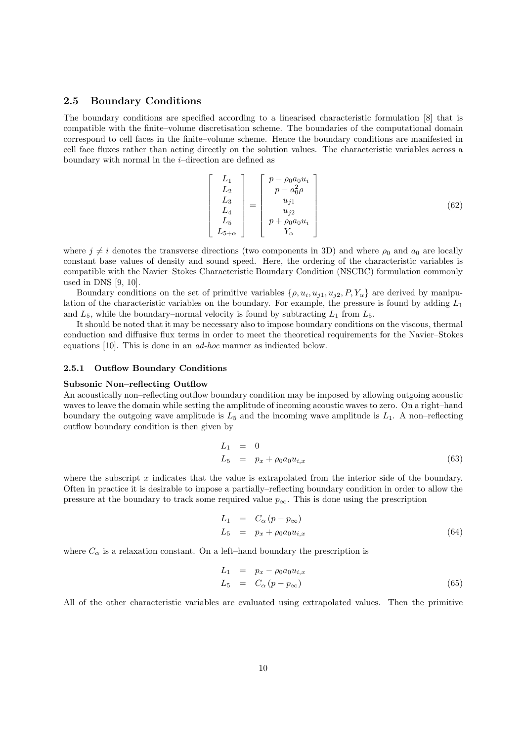## 2.5 Boundary Conditions

The boundary conditions are specified according to a linearised characteristic formulation [8] that is compatible with the finite–volume discretisation scheme. The boundaries of the computational domain correspond to cell faces in the finite–volume scheme. Hence the boundary conditions are manifested in cell face fluxes rather than acting directly on the solution values. The characteristic variables across a boundary with normal in the  $i$ -direction are defined as

$$
\begin{bmatrix} L_1 \\ L_2 \\ L_3 \\ L_4 \\ L_5 \\ L_5 + \alpha \end{bmatrix} = \begin{bmatrix} p - \rho_0 a_0 u_i \\ p - a_0^2 \rho \\ u_j 1 \\ u_j 2 \\ p + \rho_0 a_0 u_i \\ Y_\alpha \end{bmatrix}
$$
(62)

where  $j \neq i$  denotes the transverse directions (two components in 3D) and where  $\rho_0$  and  $a_0$  are locally constant base values of density and sound speed. Here, the ordering of the characteristic variables is compatible with the Navier–Stokes Characteristic Boundary Condition (NSCBC) formulation commonly used in DNS [9, 10].

Boundary conditions on the set of primitive variables  $\{\rho, u_i, u_{j1}, u_{j2}, P, Y_\alpha\}$  are derived by manipulation of the characteristic variables on the boundary. For example, the pressure is found by adding  $L_1$ and  $L_5$ , while the boundary–normal velocity is found by subtracting  $L_1$  from  $L_5$ .

It should be noted that it may be necessary also to impose boundary conditions on the viscous, thermal conduction and diffusive flux terms in order to meet the theoretical requirements for the Navier–Stokes equations [10]. This is done in an ad-hoc manner as indicated below.

#### 2.5.1 Outflow Boundary Conditions

#### Subsonic Non–reflecting Outflow

An acoustically non–reflecting outflow boundary condition may be imposed by allowing outgoing acoustic waves to leave the domain while setting the amplitude of incoming acoustic waves to zero. On a right–hand boundary the outgoing wave amplitude is  $L_5$  and the incoming wave amplitude is  $L_1$ . A non-reflecting outflow boundary condition is then given by

$$
L_1 = 0
$$
  
\n
$$
L_5 = p_x + \rho_0 a_0 u_{i,x}
$$
\n(63)

where the subscript  $x$  indicates that the value is extrapolated from the interior side of the boundary. Often in practice it is desirable to impose a partially–reflecting boundary condition in order to allow the pressure at the boundary to track some required value  $p_{\infty}$ . This is done using the prescription

$$
L_1 = C_{\alpha} (p - p_{\infty})
$$
  
\n
$$
L_5 = p_x + \rho_0 a_0 u_{i,x}
$$
\n(64)

where  $C_{\alpha}$  is a relaxation constant. On a left–hand boundary the prescription is

$$
L_1 = p_x - \rho_0 a_0 u_{i,x}
$$
  
\n
$$
L_5 = C_\alpha (p - p_\infty)
$$
\n(65)

All of the other characteristic variables are evaluated using extrapolated values. Then the primitive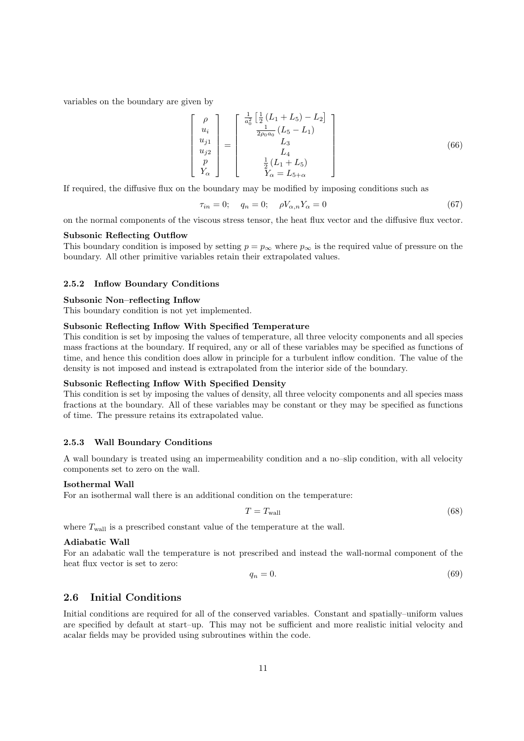variables on the boundary are given by

$$
\begin{bmatrix}\n\rho \\
u_i \\
u_j \\
u_{j2} \\
p \\
Y_\alpha\n\end{bmatrix} = \begin{bmatrix}\n\frac{1}{a_0^2} \left[ \frac{1}{2} (L_1 + L_5) - L_2 \right] \\
\frac{1}{2\rho_0 a_0} (L_5 - L_1) \\
L_3 \\
L_4 \\
L_5 \\
Y_\alpha = L_5 + \alpha\n\end{bmatrix}
$$
\n(66)

If required, the diffusive flux on the boundary may be modified by imposing conditions such as

$$
\tau_{in} = 0; \quad q_n = 0; \quad \rho V_{\alpha,n} Y_{\alpha} = 0 \tag{67}
$$

on the normal components of the viscous stress tensor, the heat flux vector and the diffusive flux vector.

#### Subsonic Reflecting Outflow

This boundary condition is imposed by setting  $p = p_{\infty}$  where  $p_{\infty}$  is the required value of pressure on the boundary. All other primitive variables retain their extrapolated values.

### 2.5.2 Inflow Boundary Conditions

#### Subsonic Non–reflecting Inflow

This boundary condition is not yet implemented.

#### Subsonic Reflecting Inflow With Specified Temperature

This condition is set by imposing the values of temperature, all three velocity components and all species mass fractions at the boundary. If required, any or all of these variables may be specified as functions of time, and hence this condition does allow in principle for a turbulent inflow condition. The value of the density is not imposed and instead is extrapolated from the interior side of the boundary.

### Subsonic Reflecting Inflow With Specified Density

This condition is set by imposing the values of density, all three velocity components and all species mass fractions at the boundary. All of these variables may be constant or they may be specified as functions of time. The pressure retains its extrapolated value.

### 2.5.3 Wall Boundary Conditions

A wall boundary is treated using an impermeability condition and a no–slip condition, with all velocity components set to zero on the wall.

### Isothermal Wall

For an isothermal wall there is an additional condition on the temperature:

$$
T = T_{\text{wall}} \tag{68}
$$

where  $T_{\text{wall}}$  is a prescribed constant value of the temperature at the wall.

#### Adiabatic Wall

For an adabatic wall the temperature is not prescribed and instead the wall-normal component of the heat flux vector is set to zero:

$$
q_n = 0.\t\t(69)
$$

### 2.6 Initial Conditions

Initial conditions are required for all of the conserved variables. Constant and spatially–uniform values are specified by default at start–up. This may not be sufficient and more realistic initial velocity and acalar fields may be provided using subroutines within the code.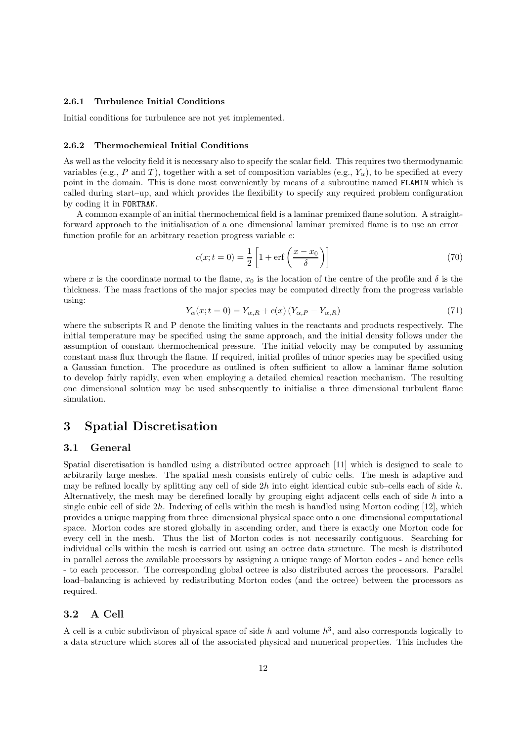### 2.6.1 Turbulence Initial Conditions

Initial conditions for turbulence are not yet implemented.

### 2.6.2 Thermochemical Initial Conditions

As well as the velocity field it is necessary also to specify the scalar field. This requires two thermodynamic variables (e.g., P and T), together with a set of composition variables (e.g.,  $Y_{\alpha}$ ), to be specified at every point in the domain. This is done most conveniently by means of a subroutine named FLAMIN which is called during start–up, and which provides the flexibility to specify any required problem configuration by coding it in FORTRAN.

A common example of an initial thermochemical field is a laminar premixed flame solution. A straightforward approach to the initialisation of a one–dimensional laminar premixed flame is to use an error– function profile for an arbitrary reaction progress variable c:

$$
c(x; t = 0) = \frac{1}{2} \left[ 1 + \text{erf}\left(\frac{x - x_0}{\delta}\right) \right]
$$
\n
$$
(70)
$$

where x is the coordinate normal to the flame,  $x_0$  is the location of the centre of the profile and  $\delta$  is the thickness. The mass fractions of the major species may be computed directly from the progress variable using:

$$
Y_{\alpha}(x;t=0) = Y_{\alpha,R} + c(x) \left( Y_{\alpha,P} - Y_{\alpha,R} \right) \tag{71}
$$

where the subscripts R and P denote the limiting values in the reactants and products respectively. The initial temperature may be specified using the same approach, and the initial density follows under the assumption of constant thermochemical pressure. The initial velocity may be computed by assuming constant mass flux through the flame. If required, initial profiles of minor species may be specified using a Gaussian function. The procedure as outlined is often sufficient to allow a laminar flame solution to develop fairly rapidly, even when employing a detailed chemical reaction mechanism. The resulting one–dimensional solution may be used subsequently to initialise a three–dimensional turbulent flame simulation.

# 3 Spatial Discretisation

### 3.1 General

Spatial discretisation is handled using a distributed octree approach [11] which is designed to scale to arbitrarily large meshes. The spatial mesh consists entirely of cubic cells. The mesh is adaptive and may be refined locally by splitting any cell of side  $2h$  into eight identical cubic sub–cells each of side h. Alternatively, the mesh may be derefined locally by grouping eight adjacent cells each of side h into a single cubic cell of side  $2h$ . Indexing of cells within the mesh is handled using Morton coding [12], which provides a unique mapping from three–dimensional physical space onto a one–dimensional computational space. Morton codes are stored globally in ascending order, and there is exactly one Morton code for every cell in the mesh. Thus the list of Morton codes is not necessarily contiguous. Searching for individual cells within the mesh is carried out using an octree data structure. The mesh is distributed in parallel across the available processors by assigning a unique range of Morton codes - and hence cells - to each processor. The corresponding global octree is also distributed across the processors. Parallel load–balancing is achieved by redistributing Morton codes (and the octree) between the processors as required.

### 3.2 A Cell

A cell is a cubic subdivison of physical space of side h and volume  $h^3$ , and also corresponds logically to a data structure which stores all of the associated physical and numerical properties. This includes the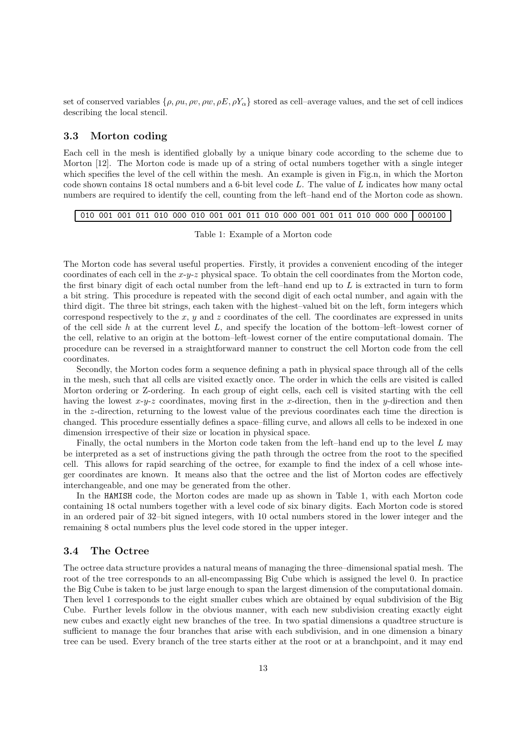set of conserved variables  $\{\rho, \rho u, \rho v, \rho w, \rho E, \rho Y_\alpha\}$  stored as cell–average values, and the set of cell indices describing the local stencil.

### 3.3 Morton coding

Each cell in the mesh is identified globally by a unique binary code according to the scheme due to Morton [12]. The Morton code is made up of a string of octal numbers together with a single integer which specifies the level of the cell within the mesh. An example is given in Fig.n, in which the Morton code shown contains 18 octal numbers and a 6-bit level code L. The value of L indicates how many octal numbers are required to identify the cell, counting from the left–hand end of the Morton code as shown.

|  |  |  |  |  |  |  |  |  |  |  |  |  |  |  |  |  | 010 001 001 011 010 000 010 001 001 011 010 000 001 001 011 010 000 000 000100 |
|--|--|--|--|--|--|--|--|--|--|--|--|--|--|--|--|--|--------------------------------------------------------------------------------|
|--|--|--|--|--|--|--|--|--|--|--|--|--|--|--|--|--|--------------------------------------------------------------------------------|

Table 1: Example of a Morton code

The Morton code has several useful properties. Firstly, it provides a convenient encoding of the integer coordinates of each cell in the  $x-y-z$  physical space. To obtain the cell coordinates from the Morton code, the first binary digit of each octal number from the left–hand end up to  $L$  is extracted in turn to form a bit string. This procedure is repeated with the second digit of each octal number, and again with the third digit. The three bit strings, each taken with the highest–valued bit on the left, form integers which correspond respectively to the  $x, y$  and  $z$  coordinates of the cell. The coordinates are expressed in units of the cell side h at the current level  $L$ , and specify the location of the bottom–left–lowest corner of the cell, relative to an origin at the bottom–left–lowest corner of the entire computational domain. The procedure can be reversed in a straightforward manner to construct the cell Morton code from the cell coordinates.

Secondly, the Morton codes form a sequence defining a path in physical space through all of the cells in the mesh, such that all cells are visited exactly once. The order in which the cells are visited is called Morton ordering or Z-ordering. In each group of eight cells, each cell is visited starting with the cell having the lowest  $x-y-z$  coordinates, moving first in the x-direction, then in the y-direction and then in the z-direction, returning to the lowest value of the previous coordinates each time the direction is changed. This procedure essentially defines a space–filling curve, and allows all cells to be indexed in one dimension irrespective of their size or location in physical space.

Finally, the octal numbers in the Morton code taken from the left–hand end up to the level  $L$  may be interpreted as a set of instructions giving the path through the octree from the root to the specified cell. This allows for rapid searching of the octree, for example to find the index of a cell whose integer coordinates are known. It means also that the octree and the list of Morton codes are effectively interchangeable, and one may be generated from the other.

In the HAMISH code, the Morton codes are made up as shown in Table 1, with each Morton code containing 18 octal numbers together with a level code of six binary digits. Each Morton code is stored in an ordered pair of 32–bit signed integers, with 10 octal numbers stored in the lower integer and the remaining 8 octal numbers plus the level code stored in the upper integer.

### 3.4 The Octree

The octree data structure provides a natural means of managing the three–dimensional spatial mesh. The root of the tree corresponds to an all-encompassing Big Cube which is assigned the level 0. In practice the Big Cube is taken to be just large enough to span the largest dimension of the computational domain. Then level 1 corresponds to the eight smaller cubes which are obtained by equal subdivision of the Big Cube. Further levels follow in the obvious manner, with each new subdivision creating exactly eight new cubes and exactly eight new branches of the tree. In two spatial dimensions a quadtree structure is sufficient to manage the four branches that arise with each subdivision, and in one dimension a binary tree can be used. Every branch of the tree starts either at the root or at a branchpoint, and it may end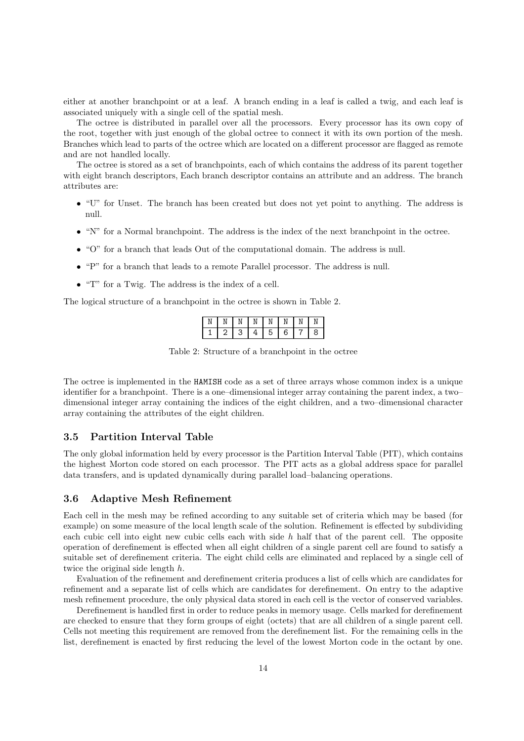either at another branchpoint or at a leaf. A branch ending in a leaf is called a twig, and each leaf is associated uniquely with a single cell of the spatial mesh.

The octree is distributed in parallel over all the processors. Every processor has its own copy of the root, together with just enough of the global octree to connect it with its own portion of the mesh. Branches which lead to parts of the octree which are located on a different processor are flagged as remote and are not handled locally.

The octree is stored as a set of branchpoints, each of which contains the address of its parent together with eight branch descriptors, Each branch descriptor contains an attribute and an address. The branch attributes are:

- "U" for Unset. The branch has been created but does not yet point to anything. The address is null.
- "N" for a Normal branchpoint. The address is the index of the next branchpoint in the octree.
- "O" for a branch that leads Out of the computational domain. The address is null.
- "P" for a branch that leads to a remote Parallel processor. The address is null.
- "T" for a Twig. The address is the index of a cell.

The logical structure of a branchpoint in the octree is shown in Table 2.

| Ν |   | Ν       |   | N | N | Ν | Ν |
|---|---|---------|---|---|---|---|---|
|   | ۷ | בי<br>ت | 4 | 5 | 6 |   | 8 |

Table 2: Structure of a branchpoint in the octree

The octree is implemented in the HAMISH code as a set of three arrays whose common index is a unique identifier for a branchpoint. There is a one–dimensional integer array containing the parent index, a two– dimensional integer array containing the indices of the eight children, and a two–dimensional character array containing the attributes of the eight children.

### 3.5 Partition Interval Table

The only global information held by every processor is the Partition Interval Table (PIT), which contains the highest Morton code stored on each processor. The PIT acts as a global address space for parallel data transfers, and is updated dynamically during parallel load–balancing operations.

### 3.6 Adaptive Mesh Refinement

Each cell in the mesh may be refined according to any suitable set of criteria which may be based (for example) on some measure of the local length scale of the solution. Refinement is effected by subdividing each cubic cell into eight new cubic cells each with side  $h$  half that of the parent cell. The opposite operation of derefinement is effected when all eight children of a single parent cell are found to satisfy a suitable set of derefinement criteria. The eight child cells are eliminated and replaced by a single cell of twice the original side length h.

Evaluation of the refinement and derefinement criteria produces a list of cells which are candidates for refinement and a separate list of cells which are candidates for derefinement. On entry to the adaptive mesh refinement procedure, the only physical data stored in each cell is the vector of conserved variables.

Derefinement is handled first in order to reduce peaks in memory usage. Cells marked for derefinement are checked to ensure that they form groups of eight (octets) that are all children of a single parent cell. Cells not meeting this requirement are removed from the derefinement list. For the remaining cells in the list, derefinement is enacted by first reducing the level of the lowest Morton code in the octant by one.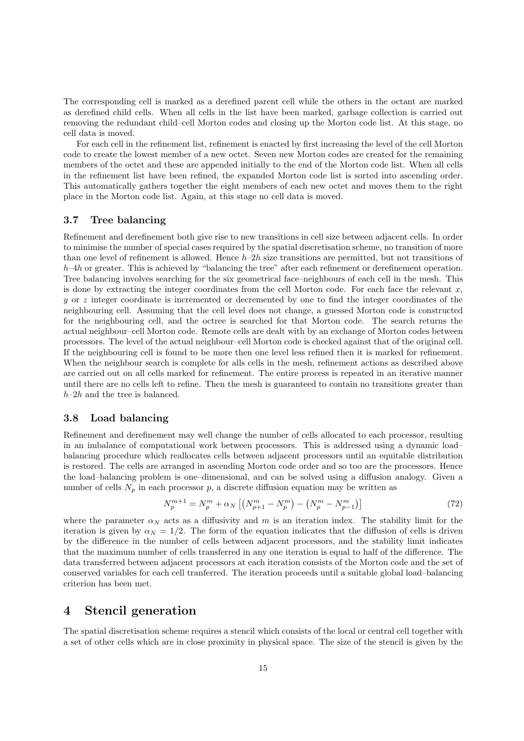The corresponding cell is marked as a derefined parent cell while the others in the octant are marked as derefined child cells. When all cells in the list have been marked, garbage collection is carried out removing the redundant child–cell Morton codes and closing up the Morton code list. At this stage, no cell data is moved.

For each cell in the refinement list, refinement is enacted by first increasing the level of the cell Morton code to create the lowest member of a new octet. Seven new Morton codes are created for the remaining members of the octet and these are appended initially to the end of the Morton code list. When all cells in the refinement list have been refined, the expanded Morton code list is sorted into ascending order. This automatically gathers together the eight members of each new octet and moves them to the right place in the Morton code list. Again, at this stage no cell data is moved.

### 3.7 Tree balancing

Refinement and derefinement both give rise to new transitions in cell size between adjacent cells. In order to minimise the number of special cases required by the spatial discretisation scheme, no transition of more than one level of refinement is allowed. Hence  $h-2h$  size transitions are permitted, but not transitions of  $h-4h$  or greater. This is achieved by "balancing the tree" after each refinement or derefinement operation. Tree balancing involves searching for the six geometrical face–neighbours of each cell in the mesh. This is done by extracting the integer coordinates from the cell Morton code. For each face the relevant  $x$ , y or z integer coordinate is incremented or decremented by one to find the integer coordinates of the neighbouring cell. Assuming that the cell level does not change, a guessed Morton code is constructed for the neighbouring cell, and the octree is searched for that Morton code. The search returns the actual neighbour–cell Morton code. Remote cells are dealt with by an exchange of Morton codes between processors. The level of the actual neighbour–cell Morton code is checked against that of the original cell. If the neighbouring cell is found to be more then one level less refined then it is marked for refinement. When the neighbour search is complete for alls cells in the mesh, refinement actions as described above are carried out on all cells marked for refinement. The entire process is repeated in an iterative manner until there are no cells left to refine. Then the mesh is guaranteed to contain no transitions greater than  $h-2h$  and the tree is balanced.

### 3.8 Load balancing

Refinement and derefinement may well change the number of cells allocated to each processor, resulting in an imbalance of computational work between processors. This is addressed using a dynamic load– balancing procedure which reallocates cells between adjacent processors until an equitable distribution is restored. The cells are arranged in ascending Morton code order and so too are the processors. Hence the load–balancing problem is one–dimensional, and can be solved using a diffusion analogy. Given a number of cells  $N_p$  in each processor p, a discrete diffusion equation may be written as

$$
N_p^{m+1} = N_p^m + \alpha_N \left[ \left( N_{p+1}^m - N_p^m \right) - \left( N_p^m - N_{p-1}^m \right) \right] \tag{72}
$$

where the parameter  $\alpha_N$  acts as a diffusivity and m is an iteration index. The stability limit for the iteration is given by  $\alpha_N = 1/2$ . The form of the equation indicates that the diffusion of cells is driven by the difference in the number of cells between adjacent processors, and the stability limit indicates that the maximum number of cells transferred in any one iteration is equal to half of the difference. The data transferred between adjacent processors at each iteration consists of the Morton code and the set of conserved variables for each cell tranferred. The iteration proceeds until a suitable global load–balancing criterion has been met.

## 4 Stencil generation

The spatial discretisation scheme requires a stencil which consists of the local or central cell together with a set of other cells which are in close proximity in physical space. The size of the stencil is given by the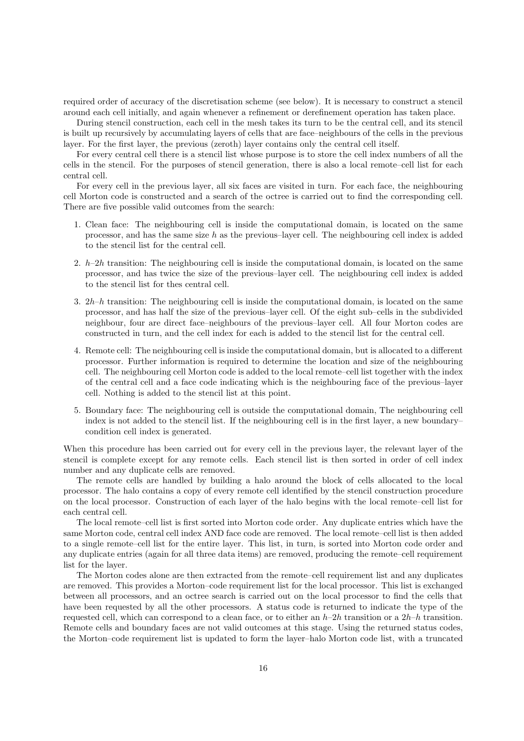required order of accuracy of the discretisation scheme (see below). It is necessary to construct a stencil around each cell initially, and again whenever a refinement or derefinement operation has taken place.

During stencil construction, each cell in the mesh takes its turn to be the central cell, and its stencil is built up recursively by accumulating layers of cells that are face–neighbours of the cells in the previous layer. For the first layer, the previous (zeroth) layer contains only the central cell itself.

For every central cell there is a stencil list whose purpose is to store the cell index numbers of all the cells in the stencil. For the purposes of stencil generation, there is also a local remote–cell list for each central cell.

For every cell in the previous layer, all six faces are visited in turn. For each face, the neighbouring cell Morton code is constructed and a search of the octree is carried out to find the corresponding cell. There are five possible valid outcomes from the search:

- 1. Clean face: The neighbouring cell is inside the computational domain, is located on the same processor, and has the same size  $h$  as the previous–layer cell. The neighbouring cell index is added to the stencil list for the central cell.
- 2.  $h-2h$  transition: The neighbouring cell is inside the computational domain, is located on the same processor, and has twice the size of the previous–layer cell. The neighbouring cell index is added to the stencil list for thes central cell.
- 3.  $2h-h$  transition: The neighbouring cell is inside the computational domain, is located on the same processor, and has half the size of the previous–layer cell. Of the eight sub–cells in the subdivided neighbour, four are direct face–neighbours of the previous–layer cell. All four Morton codes are constructed in turn, and the cell index for each is added to the stencil list for the central cell.
- 4. Remote cell: The neighbouring cell is inside the computational domain, but is allocated to a different processor. Further information is required to determine the location and size of the neighbouring cell. The neighbouring cell Morton code is added to the local remote–cell list together with the index of the central cell and a face code indicating which is the neighbouring face of the previous–layer cell. Nothing is added to the stencil list at this point.
- 5. Boundary face: The neighbouring cell is outside the computational domain, The neighbouring cell index is not added to the stencil list. If the neighbouring cell is in the first layer, a new boundary– condition cell index is generated.

When this procedure has been carried out for every cell in the previous layer, the relevant layer of the stencil is complete except for any remote cells. Each stencil list is then sorted in order of cell index number and any duplicate cells are removed.

The remote cells are handled by building a halo around the block of cells allocated to the local processor. The halo contains a copy of every remote cell identified by the stencil construction procedure on the local processor. Construction of each layer of the halo begins with the local remote–cell list for each central cell.

The local remote–cell list is first sorted into Morton code order. Any duplicate entries which have the same Morton code, central cell index AND face code are removed. The local remote–cell list is then added to a single remote–cell list for the entire layer. This list, in turn, is sorted into Morton code order and any duplicate entries (again for all three data items) are removed, producing the remote–cell requirement list for the layer.

The Morton codes alone are then extracted from the remote–cell requirement list and any duplicates are removed. This provides a Morton–code requirement list for the local processor. This list is exchanged between all processors, and an octree search is carried out on the local processor to find the cells that have been requested by all the other processors. A status code is returned to indicate the type of the requested cell, which can correspond to a clean face, or to either an  $h-2h$  transition or a  $2h-h$  transition. Remote cells and boundary faces are not valid outcomes at this stage. Using the returned status codes, the Morton–code requirement list is updated to form the layer–halo Morton code list, with a truncated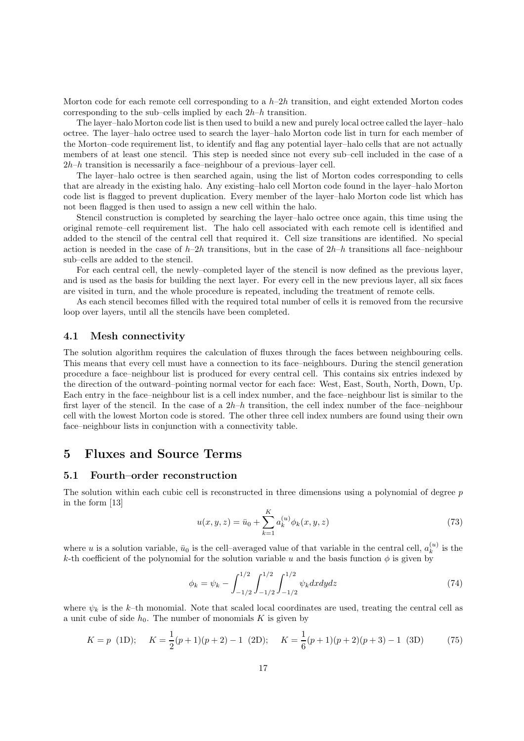Morton code for each remote cell corresponding to a  $h-2h$  transition, and eight extended Morton codes corresponding to the sub–cells implied by each  $2h-h$  transition.

The layer–halo Morton code list is then used to build a new and purely local octree called the layer–halo octree. The layer–halo octree used to search the layer–halo Morton code list in turn for each member of the Morton–code requirement list, to identify and flag any potential layer–halo cells that are not actually members of at least one stencil. This step is needed since not every sub–cell included in the case of a  $2h-h$  transition is necessarily a face–neighbour of a previous–layer cell.

The layer–halo octree is then searched again, using the list of Morton codes corresponding to cells that are already in the existing halo. Any existing–halo cell Morton code found in the layer–halo Morton code list is flagged to prevent duplication. Every member of the layer–halo Morton code list which has not been flagged is then used to assign a new cell within the halo.

Stencil construction is completed by searching the layer–halo octree once again, this time using the original remote–cell requirement list. The halo cell associated with each remote cell is identified and added to the stencil of the central cell that required it. Cell size transitions are identified. No special action is needed in the case of  $h-2h$  transitions, but in the case of  $2h-h$  transitions all face–neighbour sub–cells are added to the stencil.

For each central cell, the newly–completed layer of the stencil is now defined as the previous layer, and is used as the basis for building the next layer. For every cell in the new previous layer, all six faces are visited in turn, and the whole procedure is repeated, including the treatment of remote cells.

As each stencil becomes filled with the required total number of cells it is removed from the recursive loop over layers, until all the stencils have been completed.

### 4.1 Mesh connectivity

The solution algorithm requires the calculation of fluxes through the faces between neighbouring cells. This means that every cell must have a connection to its face–neighbours. During the stencil generation procedure a face–neighbour list is produced for every central cell. This contains six entries indexed by the direction of the outward–pointing normal vector for each face: West, East, South, North, Down, Up. Each entry in the face–neighbour list is a cell index number, and the face–neighbour list is similar to the first layer of the stencil. In the case of a  $2h-h$  transition, the cell index number of the face–neighbour cell with the lowest Morton code is stored. The other three cell index numbers are found using their own face–neighbour lists in conjunction with a connectivity table.

# 5 Fluxes and Source Terms

### 5.1 Fourth–order reconstruction

The solution within each cubic cell is reconstructed in three dimensions using a polynomial of degree  $p$ in the form [13]

$$
u(x, y, z) = \bar{u}_0 + \sum_{k=1}^{K} a_k^{(u)} \phi_k(x, y, z)
$$
\n(73)

where u is a solution variable,  $\bar{u}_0$  is the cell–averaged value of that variable in the central cell,  $a_k^{(u)}$  $\binom{u}{k}$  is the k-th coefficient of the polynomial for the solution variable u and the basis function  $\phi$  is given by

$$
\phi_k = \psi_k - \int_{-1/2}^{1/2} \int_{-1/2}^{1/2} \int_{-1/2}^{1/2} \psi_k dx dy dz \tag{74}
$$

where  $\psi_k$  is the k–th monomial. Note that scaled local coordinates are used, treating the central cell as a unit cube of side  $h_0$ . The number of monomials K is given by

$$
K = p \text{ (1D)}; \quad K = \frac{1}{2}(p+1)(p+2) - 1 \text{ (2D)}; \quad K = \frac{1}{6}(p+1)(p+2)(p+3) - 1 \text{ (3D)} \tag{75}
$$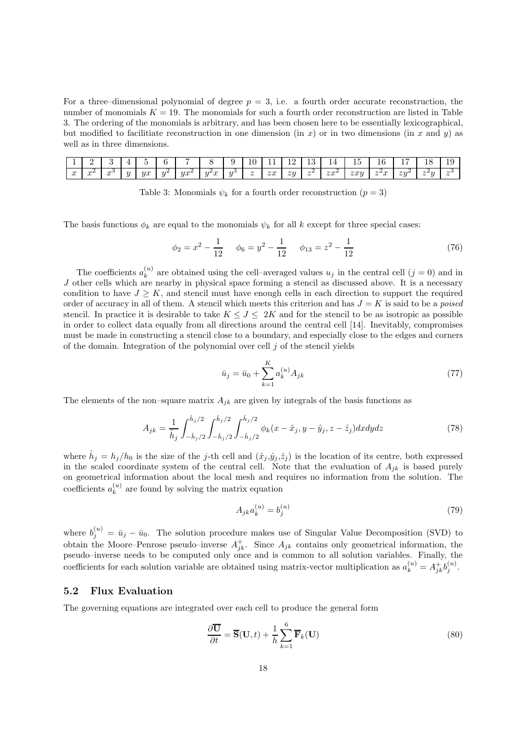For a three–dimensional polynomial of degree  $p = 3$ , i.e. a fourth order accurate reconstruction, the number of monomials  $K = 19$ . The monomials for such a fourth order reconstruction are listed in Table 3. The ordering of the monomials is arbitrary, and has been chosen here to be essentially lexicographical, but modified to facilitiate reconstruction in one dimension (in x) or in two dimensions (in x and y) as well as in three dimensions.

| <b>.</b>    |             |             |          | $\sim$ $\sim$ |                 |            |                                                          |        | TÛ                       | <u>.</u>                | $\sim$<br>--    | റ<br>ŦΩ                         | <u>_</u><br>. .         | . .<br>$\cdot$<br>ᆂ          | . r<br>ΙU                                                 | --<br><b>.</b> | $\sim$<br>×<br>-10                          | $\overline{1}$ $\overline{6}$<br><b>LU</b> |
|-------------|-------------|-------------|----------|---------------|-----------------|------------|----------------------------------------------------------|--------|--------------------------|-------------------------|-----------------|---------------------------------|-------------------------|------------------------------|-----------------------------------------------------------|----------------|---------------------------------------------|--------------------------------------------|
| $\sim$<br>w | $\sim$<br>w | $\sim$<br>w | $\theta$ | ux<br>.,      | $\sim$ . $\sim$ | 0.02<br>.u | ' ഹ<br>$\theta$ $\theta$<br>$\boldsymbol{\omega}$<br>. . | $\sim$ | $\overline{\phantom{a}}$ | $\sim$ $\sim$<br>$\sim$ | $\overline{z}u$ | $\sim$ $\sim$<br>$\overline{u}$ | $\sim \infty$<br>$\sim$ | $\sim \infty$<br>$\sim$ it y | $\overline{\phantom{a}}$<br>w<br>$\overline{\phantom{a}}$ | $zu^{\omega}$  | ہ سے یہ<br>$\tilde{\phantom{a}}$<br>$\cdot$ | $\sim$<br>$\overline{\phantom{a}}$         |

Table 3: Monomials  $\psi_k$  for a fourth order reconstruction  $(p = 3)$ 

The basis functions  $\phi_k$  are equal to the monomials  $\psi_k$  for all k except for three special cases:

$$
\phi_2 = x^2 - \frac{1}{12} \qquad \phi_6 = y^2 - \frac{1}{12} \qquad \phi_{13} = z^2 - \frac{1}{12} \tag{76}
$$

The coefficients  $a_k^{(u)}$  $\binom{u}{k}$  are obtained using the cell–averaged values  $u_j$  in the central cell  $(j = 0)$  and in J other cells which are nearby in physical space forming a stencil as discussed above. It is a necessary condition to have  $J \geq K$ , and stencil must have enough cells in each direction to support the required order of accuracy in all of them. A stencil which meets this criterion and has  $J = K$  is said to be a *poised* stencil. In practice it is desirable to take  $K \leq J \leq 2K$  and for the stencil to be as isotropic as possible in order to collect data equally from all directions around the central cell [14]. Inevitably, compromises must be made in constructing a stencil close to a boundary, and especially close to the edges and corners of the domain. Integration of the polynomial over cell  $j$  of the stencil yields

$$
\bar{u}_j = \bar{u}_0 + \sum_{k=1}^{K} a_k^{(u)} A_{jk} \tag{77}
$$

The elements of the non–square matrix  $A_{ik}$  are given by integrals of the basis functions as

$$
A_{jk} = \frac{1}{\hat{h}_j} \int_{-\hat{h}_j/2}^{\hat{h}_j/2} \int_{-\hat{h}_j/2}^{\hat{h}_j/2} \int_{-\hat{h}_j/2}^{\hat{h}_j/2} \phi_k(x - \hat{x}_j, y - \hat{y}_j, z - \hat{z}_j) dx dy dz
$$
 (78)

where  $\hat{h}_j = h_j/h_0$  is the size of the j-th cell and  $(\hat{x}_j, \hat{y}_j, \hat{z}_j)$  is the location of its centre, both expressed in the scaled coordinate system of the central cell. Note that the evaluation of  $A_{ik}$  is based purely on geometrical information about the local mesh and requires no information from the solution. The coefficients  $a_k^{(u)}$  $k^{(u)}$  are found by solving the matrix equation

$$
A_{jk}a_k^{(u)} = b_j^{(u)}
$$
\n(79)

where  $b_j^{(u)} = \bar{u}_j - \bar{u}_0$ . The solution procedure makes use of Singular Value Decomposition (SVD) to obtain the Moore–Penrose pseudo–inverse  $A_{jk}^+$ . Since  $A_{jk}$  contains only geometrical information, the pseudo–inverse needs to be computed only once and is common to all solution variables. Finally, the coefficients for each solution variable are obtained using matrix-vector multiplication as  $a_k^{(u)} = A_{jk}^{\dagger} b_j^{(u)}$ .

### 5.2 Flux Evaluation

The governing equations are integrated over each cell to produce the general form

$$
\frac{\partial \overline{\mathbf{U}}}{\partial t} = \overline{\mathbf{S}}(\mathbf{U}, t) + \frac{1}{h} \sum_{k=1}^{6} \overline{\mathbf{F}}_k(\mathbf{U})
$$
\n(80)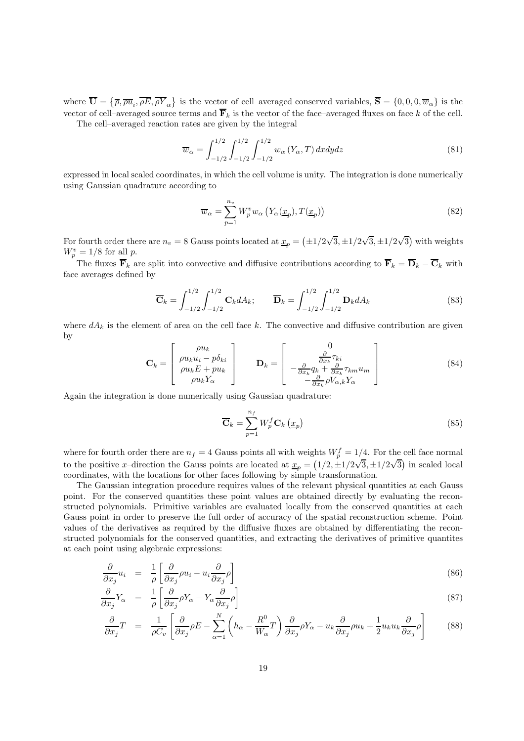where  $\overline{\mathbf{U}} = \{\overline{\rho}, \overline{\rho} \overline{u}_i, \overline{\rho} \overline{E}, \overline{\rho} \overline{Y}_{\alpha}\}\$  is the vector of cell-averaged conserved variables,  $\overline{\mathbf{S}} = \{0, 0, 0, \overline{w}_{\alpha}\}\$ is the vector of cell–averaged source terms and  $\overline{\mathbf{F}}_k$  is the vector of the face–averaged fluxes on face k of the cell. The cell–averaged reaction rates are given by the integral

> $\overline{w}_{\alpha}=\int^{1/2}% \overline{w}_{\alpha}^{1}(\overline{w}_{\alpha}^{1})\varphi(\overline{w}_{\alpha}^{1})\varphi(\overline{w}_{\alpha}^{1})$  $-1/2$  $\int^{1/2}$  $-1/2$  $\int^{1/2}$  $\int_{-1/2} w_{\alpha} (Y_{\alpha}, T) dx dy dz$  (81)

expressed in local scaled coordinates, in which the cell volume is unity. The integration is done numerically using Gaussian quadrature according to

$$
\overline{w}_{\alpha} = \sum_{p=1}^{n_v} W_p^v w_{\alpha} \left( Y_{\alpha}(\underline{x}_p), T(\underline{x}_p) \right)
$$
\n(82)

For fourth order there are  $n_v = 8$  Gauss points located at  $\underline{x}_p = (\pm 1/2\sqrt{3}, \pm 1/2\sqrt{3}, \pm 1/2\sqrt{3})$  with weights  $W_p^v = 1/8$  for all p.

The fluxes  $\overline{\mathbf{F}}_k$  are split into convective and diffusive contributions according to  $\overline{\mathbf{F}}_k = \overline{\mathbf{D}}_k - \overline{\mathbf{C}}_k$  with face averages defined by

$$
\overline{\mathbf{C}}_k = \int_{-1/2}^{1/2} \int_{-1/2}^{1/2} \mathbf{C}_k dA_k; \qquad \overline{\mathbf{D}}_k = \int_{-1/2}^{1/2} \int_{-1/2}^{1/2} \mathbf{D}_k dA_k \tag{83}
$$

where  $dA_k$  is the element of area on the cell face k. The convective and diffusive contribution are given by

$$
\mathbf{C}_{k} = \begin{bmatrix} \rho u_{k} \\ \rho u_{k} u_{i} - p \delta_{ki} \\ \rho u_{k} E + p u_{k} \\ \rho u_{k} Y_{\alpha} \end{bmatrix} \qquad \mathbf{D}_{k} = \begin{bmatrix} 0 \\ \frac{\partial}{\partial x_{k}} \tau_{ki} \\ -\frac{\partial}{\partial x_{k}} q_{k} + \frac{\partial}{\partial x_{k}} \tau_{km} u_{m} \\ -\frac{\partial}{\partial x_{k}} \rho V_{\alpha,k} Y_{\alpha} \end{bmatrix}
$$
(84)

Again the integration is done numerically using Gaussian quadrature:

$$
\overline{\mathbf{C}}_{k} = \sum_{p=1}^{n_f} W_p^f \mathbf{C}_{k} \left( \underline{x}_p \right) \tag{85}
$$

where for fourth order there are  $n_f = 4$  Gauss points all with weights  $W_p^f = 1/4$ . For the cell face normal to the positive x–direction the Gauss points are located at  $\underline{x}_p = (1/2, \pm 1/2\sqrt{3}, \pm 1/2\sqrt{3})$  in scaled local coordinates, with the locations for other faces following by simple transformation.

The Gaussian integration procedure requires values of the relevant physical quantities at each Gauss point. For the conserved quantities these point values are obtained directly by evaluating the reconstructed polynomials. Primitive variables are evaluated locally from the conserved quantities at each Gauss point in order to preserve the full order of accuracy of the spatial reconstruction scheme. Point values of the derivatives as required by the diffusive fluxes are obtained by differentiating the reconstructed polynomials for the conserved quantities, and extracting the derivatives of primitive quantites at each point using algebraic expressions:

$$
\frac{\partial}{\partial x_j} u_i = \frac{1}{\rho} \left[ \frac{\partial}{\partial x_j} \rho u_i - u_i \frac{\partial}{\partial x_j} \rho \right]
$$
\n(86)

$$
\frac{\partial}{\partial x_j} Y_\alpha = \frac{1}{\rho} \left[ \frac{\partial}{\partial x_j} \rho Y_\alpha - Y_\alpha \frac{\partial}{\partial x_j} \rho \right] \tag{87}
$$

$$
\frac{\partial}{\partial x_j}T = \frac{1}{\rho C_v} \left[ \frac{\partial}{\partial x_j} \rho E - \sum_{\alpha=1}^N \left( h_\alpha - \frac{R^0}{W_\alpha} T \right) \frac{\partial}{\partial x_j} \rho Y_\alpha - u_k \frac{\partial}{\partial x_j} \rho u_k + \frac{1}{2} u_k u_k \frac{\partial}{\partial x_j} \rho \right] \tag{88}
$$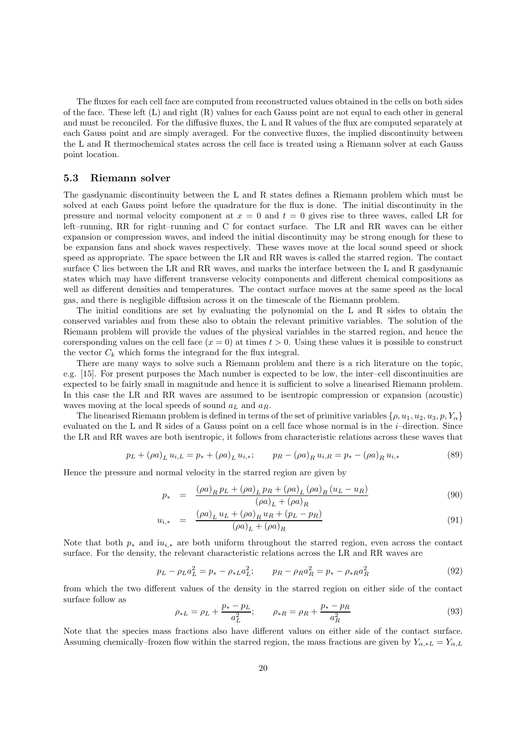The fluxes for each cell face are computed from reconstructed values obtained in the cells on both sides of the face. These left (L) and right (R) values for each Gauss point are not equal to each other in general and must be reconciled. For the diffusive fluxes, the L and R values of the flux are computed separately at each Gauss point and are simply averaged. For the convective fluxes, the implied discontinuity between the L and R thermochemical states across the cell face is treated using a Riemann solver at each Gauss point location.

### 5.3 Riemann solver

The gasdynamic discontinuity between the L and R states defines a Riemann problem which must be solved at each Gauss point before the quadrature for the flux is done. The initial discontinuity in the pressure and normal velocity component at  $x = 0$  and  $t = 0$  gives rise to three waves, called LR for left–running, RR for right–running and C for contact surface. The LR and RR waves can be either expansion or compression waves, and indeed the initial discontinuity may be strong enough for these to be expansion fans and shock waves respectively. These waves move at the local sound speed or shock speed as appropriate. The space between the LR and RR waves is called the starred region. The contact surface C lies between the LR and RR waves, and marks the interface between the L and R gasdynamic states which may have different transverse velocity components and different chemical compositions as well as different densities and temperatures. The contact surface moves at the same speed as the local gas, and there is negligible diffusion across it on the timescale of the Riemann problem.

The initial conditions are set by evaluating the polynomial on the L and R sides to obtain the conserved variables and from these also to obtain the relevant primitive variables. The solution of the Riemann problem will provide the values of the physical variables in the starred region, and hence the corersponding values on the cell face  $(x = 0)$  at times  $t > 0$ . Using these values it is possible to construct the vector  $C_k$  which forms the integrand for the flux integral.

There are many ways to solve such a Riemann problem and there is a rich literature on the topic, e.g. [15]. For present purposes the Mach number is expected to be low, the inter–cell discontinuities are expected to be fairly small in magnitude and hence it is sufficient to solve a linearised Riemann problem. In this case the LR and RR waves are assumed to be isentropic compression or expansion (acoustic) waves moving at the local speeds of sound  $a_L$  and  $a_R$ .

The linearised Riemann problem is defined in terms of the set of primitive variables  $\{\rho, u_1, u_2, u_3, p, Y_\alpha\}$ evaluated on the L and R sides of a Gauss point on a cell face whose normal is in the i–direction. Since the LR and RR waves are both isentropic, it follows from characteristic relations across these waves that

$$
p_L + (\rho a)_L u_{i,L} = p_* + (\rho a)_L u_{i,*}; \qquad p_R - (\rho a)_R u_{i,R} = p_* - (\rho a)_R u_{i,*}
$$
 (89)

Hence the pressure and normal velocity in the starred region are given by

$$
p_* = \frac{(\rho a)_R p_L + (\rho a)_L p_R + (\rho a)_L (\rho a)_R (u_L - u_R)}{(\rho a)_L + (\rho a)_R}
$$
(90)

$$
u_{i,*} = \frac{(\rho a)_L u_L + (\rho a)_R u_R + (p_L - p_R)}{(\rho a)_L + (\rho a)_R} \tag{91}
$$

Note that both  $p_*$  and  $iu_{i,*}$  are both uniform throughout the starred region, even across the contact surface. For the density, the relevant characteristic relations across the LR and RR waves are

$$
p_L - \rho_L a_L^2 = p_* - \rho_{*L} a_L^2; \qquad p_R - \rho_R a_R^2 = p_* - \rho_{*R} a_R^2 \tag{92}
$$

from which the two different values of the density in the starred region on either side of the contact surface follow as

$$
\rho_{*L} = \rho_L + \frac{p_* - p_L}{a_L^2}; \qquad \rho_{*R} = \rho_R + \frac{p_* - p_R}{a_R^2} \tag{93}
$$

Note that the species mass fractions also have different values on either side of the contact surface. Assuming chemically–frozen flow within the starred region, the mass fractions are given by  $Y_{\alpha * L} = Y_{\alpha L}$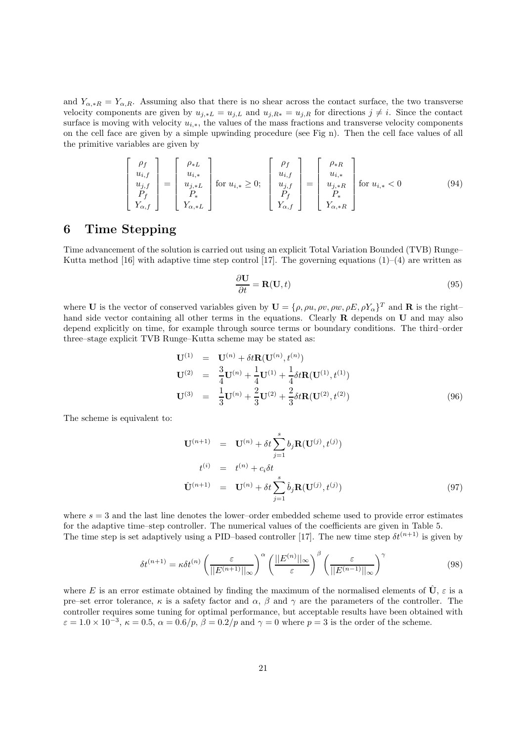and  $Y_{\alpha,*R} = Y_{\alpha,R}$ . Assuming also that there is no shear across the contact surface, the two transverse velocity components are given by  $u_{j,*L} = u_{j,L}$  and  $u_{j,R*} = u_{j,R}$  for directions  $j \neq i$ . Since the contact surface is moving with velocity  $u_{i,*}$ , the values of the mass fractions and transverse velocity components on the cell face are given by a simple upwinding procedure (see Fig n). Then the cell face values of all the primitive variables are given by

$$
\begin{bmatrix}\n\rho_f \\
u_{i,f} \\
u_{j,f} \\
P_f \\
Y_{\alpha,f}\n\end{bmatrix} = \begin{bmatrix}\n\rho_{*L} \\
u_{i,*} \\
u_{j,*L} \\
P_* \\
Y_{\alpha,*L}\n\end{bmatrix} \text{ for } u_{i,*} \ge 0; \quad\n\begin{bmatrix}\n\rho_f \\
u_{i,f} \\
u_{j,f} \\
P_f \\
P_f \\
Y_{\alpha,f}\n\end{bmatrix} = \begin{bmatrix}\n\rho_{*R} \\
u_{i,*} \\
u_{j,*R} \\
P_* \\
Y_{\alpha,*R}\n\end{bmatrix} \text{ for } u_{i,*} < 0
$$
\n(94)

# 6 Time Stepping

Time advancement of the solution is carried out using an explicit Total Variation Bounded (TVB) Runge– Kutta method [16] with adaptive time step control [17]. The governing equations  $(1)-(4)$  are written as

$$
\frac{\partial \mathbf{U}}{\partial t} = \mathbf{R}(\mathbf{U}, t) \tag{95}
$$

where **U** is the vector of conserved variables given by  $\mathbf{U} = {\rho, \rho u, \rho v, \rho w, \rho E, \rho Y_{\alpha}}^T$  and **R** is the righthand side vector containing all other terms in the equations. Clearly **R** depends on **U** and may also depend explicitly on time, for example through source terms or boundary conditions. The third–order three–stage explicit TVB Runge–Kutta scheme may be stated as:

$$
\mathbf{U}^{(1)} = \mathbf{U}^{(n)} + \delta t \mathbf{R}(\mathbf{U}^{(n)}, t^{(n)})
$$
  
\n
$$
\mathbf{U}^{(2)} = \frac{3}{4} \mathbf{U}^{(n)} + \frac{1}{4} \mathbf{U}^{(1)} + \frac{1}{4} \delta t \mathbf{R}(\mathbf{U}^{(1)}, t^{(1)})
$$
  
\n
$$
\mathbf{U}^{(3)} = \frac{1}{3} \mathbf{U}^{(n)} + \frac{2}{3} \mathbf{U}^{(2)} + \frac{2}{3} \delta t \mathbf{R}(\mathbf{U}^{(2)}, t^{(2)})
$$
\n(96)

The scheme is equivalent to:

$$
\mathbf{U}^{(n+1)} = \mathbf{U}^{(n)} + \delta t \sum_{j=1}^{s} b_j \mathbf{R}(\mathbf{U}^{(j)}, t^{(j)})
$$
  
\n
$$
t^{(i)} = t^{(n)} + c_i \delta t
$$
  
\n
$$
\hat{\mathbf{U}}^{(n+1)} = \mathbf{U}^{(n)} + \delta t \sum_{j=1}^{s} \hat{b}_j \mathbf{R}(\mathbf{U}^{(j)}, t^{(j)})
$$
\n(97)

where  $s = 3$  and the last line denotes the lower–order embedded scheme used to provide error estimates for the adaptive time–step controller. The numerical values of the coefficients are given in Table 5. The time step is set adaptively using a PID–based controller [17]. The new time step  $\delta t^{(n+1)}$  is given by

$$
\delta t^{(n+1)} = \kappa \delta t^{(n)} \left( \frac{\varepsilon}{||E^{(n+1)}||_{\infty}} \right)^{\alpha} \left( \frac{||E^{(n)}||_{\infty}}{\varepsilon} \right)^{\beta} \left( \frac{\varepsilon}{||E^{(n-1)}||_{\infty}} \right)^{\gamma}
$$
(98)

where E is an error estimate obtained by finding the maximum of the normalised elements of  $\hat{\mathbf{U}}$ ,  $\varepsilon$  is a pre–set error tolerance,  $\kappa$  is a safety factor and  $\alpha$ ,  $\beta$  and  $\gamma$  are the parameters of the controller. The controller requires some tuning for optimal performance, but acceptable results have been obtained with  $\varepsilon = 1.0 \times 10^{-3}$ ,  $\kappa = 0.5$ ,  $\alpha = 0.6/p$ ,  $\beta = 0.2/p$  and  $\gamma = 0$  where  $p = 3$  is the order of the scheme.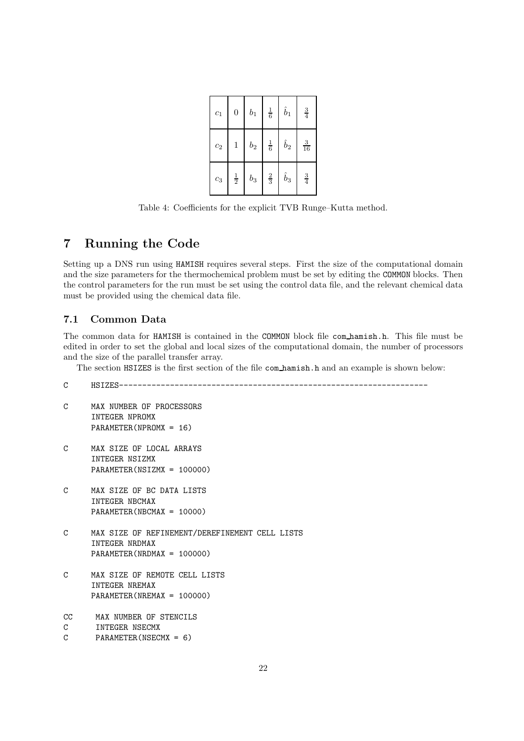| $c_1$ | $\overline{0}$ | $b_1$          | $\frac{1}{6}$ | $\hat{b}_1$ | $\frac{3}{4}$  |
|-------|----------------|----------------|---------------|-------------|----------------|
| $c_2$ | $\mathbf{1}$   | b <sub>2</sub> | $\frac{1}{6}$ | $\hat{b}_2$ | $\frac{3}{16}$ |
| $c_3$ | $\frac{1}{2}$  | $b_3$          | $\frac{2}{3}$ | $\hat{b}_3$ | $\frac{3}{4}$  |

Table 4: Coefficients for the explicit TVB Runge–Kutta method.

# 7 Running the Code

Setting up a DNS run using HAMISH requires several steps. First the size of the computational domain and the size parameters for the thermochemical problem must be set by editing the COMMON blocks. Then the control parameters for the run must be set using the control data file, and the relevant chemical data must be provided using the chemical data file.

## 7.1 Common Data

The common data for HAMISH is contained in the COMMON block file com hamish.h. This file must be edited in order to set the global and local sizes of the computational domain, the number of processors and the size of the parallel transfer array.

The section HSIZES is the first section of the file com hamish.h and an example is shown below:

| C             | $HSIZES------$                                                                                   |
|---------------|--------------------------------------------------------------------------------------------------|
| C             | MAX NUMBER OF PROCESSORS<br>INTEGER NPROMX<br>$PARAMENTER(NPROMX = 16)$                          |
| C             | MAX SIZE OF LOCAL ARRAYS<br>INTEGER NSIZMX<br>PARAMETER(NSIZMX = 100000)                         |
| $\mathcal{C}$ | MAX SIZE OF BC DATA LISTS<br>INTEGER NBCMAX<br>$PARAMETER(NBCMAX = 10000)$                       |
| $\mathcal{C}$ | MAX SIZE OF REFINEMENT/DEREFINEMENT CELL LISTS<br>INTEGER NRDMAX<br>$PARAMETER(NRDMAX = 100000)$ |
| $\mathcal{C}$ | MAX SIZE OF REMOTE CELL LISTS<br>INTEGER NREMAX<br>PARAMETER (NREMAX = 100000)                   |
| cc<br>C<br>C  | MAX NUMBER OF STENCILS<br>INTEGER NSECMX<br>PARAMETER (NSECMX = $6$ )                            |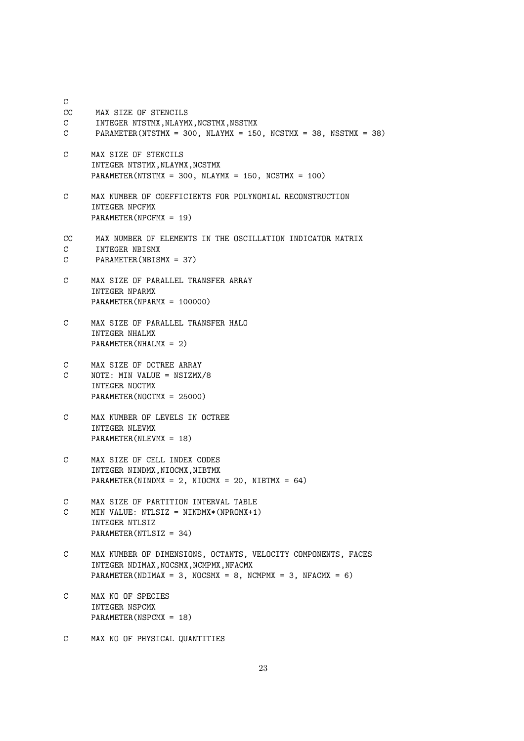C CC MAX SIZE OF STENCILS C INTEGER NTSTMX, NLAYMX, NCSTMX, NSSTMX C PARAMETER(NTSTMX = 300, NLAYMX = 150, NCSTMX = 38, NSSTMX = 38) C MAX SIZE OF STENCILS INTEGER NTSTMX, NLAYMX, NCSTMX PARAMETER(NTSTMX = 300, NLAYMX = 150, NCSTMX = 100) C MAX NUMBER OF COEFFICIENTS FOR POLYNOMIAL RECONSTRUCTION INTEGER NPCFMX PARAMETER(NPCFMX = 19) CC MAX NUMBER OF ELEMENTS IN THE OSCILLATION INDICATOR MATRIX C INTEGER NBISMX C PARAMETER(NBISMX = 37) C MAX SIZE OF PARALLEL TRANSFER ARRAY INTEGER NPARMX PARAMETER(NPARMX = 100000) C MAX SIZE OF PARALLEL TRANSFER HALO INTEGER NHALMX  $PARAMETER(NHAI.MX = 2)$ C MAX SIZE OF OCTREE ARRAY C NOTE: MIN VALUE = NSIZMX/8 INTEGER NOCTMX PARAMETER(NOCTMX = 25000) C MAX NUMBER OF LEVELS IN OCTREE INTEGER NLEVMX PARAMETER(NLEVMX = 18) C MAX SIZE OF CELL INDEX CODES INTEGER NINDMX, NIOCMX, NIBTMX PARAMETER(NINDMX =  $2$ , NIOCMX =  $20$ , NIBTMX =  $64$ ) C MAX SIZE OF PARTITION INTERVAL TABLE C MIN VALUE: NTLSIZ = NINDMX\*(NPROMX+1) INTEGER NTLSIZ PARAMETER(NTLSIZ = 34) C MAX NUMBER OF DIMENSIONS, OCTANTS, VELOCITY COMPONENTS, FACES INTEGER NDIMAX, NOCSMX, NCMPMX, NFACMX PARAMETER(NDIMAX = 3, NOCSMX = 8, NCMPMX = 3, NFACMX = 6) C MAX NO OF SPECIES INTEGER NSPCMX PARAMETER(NSPCMX = 18)

C MAX NO OF PHYSICAL QUANTITIES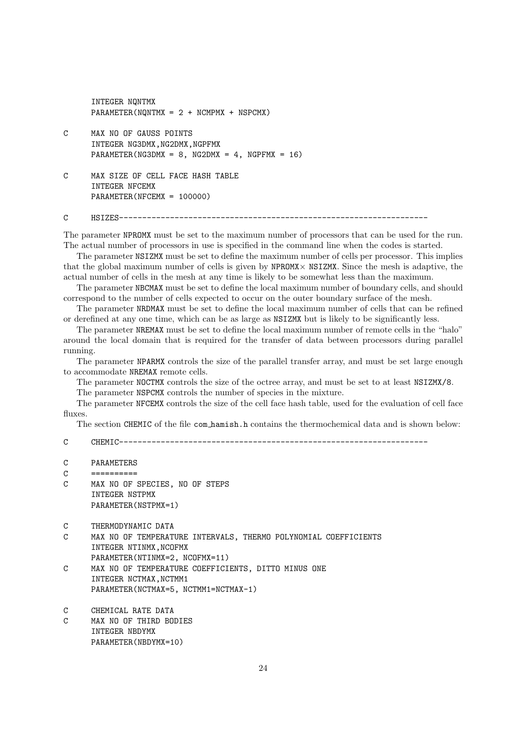INTEGER NQNTMX PARAMETER(NQNTMX =  $2 + NCMPMX + NSPCMX$ ) C MAX NO OF GAUSS POINTS INTEGER NG3DMX, NG2DMX, NGPFMX PARAMETER(NG3DMX = 8, NG2DMX = 4, NGPFMX = 16) C MAX SIZE OF CELL FACE HASH TABLE INTEGER NFCEMX PARAMETER(NFCEMX = 100000)

C HSIZES-------------------------------------------------------------------

The parameter NPROMX must be set to the maximum number of processors that can be used for the run. The actual number of processors in use is specified in the command line when the codes is started.

The parameter NSIZMX must be set to define the maximum number of cells per processor. This implies that the global maximum number of cells is given by  $NPROMX \times NSIZMX$ . Since the mesh is adaptive, the actual number of cells in the mesh at any time is likely to be somewhat less than the maximum.

The parameter NBCMAX must be set to define the local maximum number of boundary cells, and should correspond to the number of cells expected to occur on the outer boundary surface of the mesh.

The parameter NRDMAX must be set to define the local maximum number of cells that can be refined or derefined at any one time, which can be as large as NSIZMX but is likely to be significantly less.

The parameter NREMAX must be set to define the local maximum number of remote cells in the "halo" around the local domain that is required for the transfer of data between processors during parallel running.

The parameter NPARMX controls the size of the parallel transfer array, and must be set large enough to accommodate NREMAX remote cells.

The parameter NOCTMX controls the size of the octree array, and must be set to at least NSIZMX/8.

The parameter NSPCMX controls the number of species in the mixture.

The parameter NFCEMX controls the size of the cell face hash table, used for the evaluation of cell face fluxes.

The section CHEMIC of the file com hamish.h contains the thermochemical data and is shown below:

C CHEMIC-------------------------------------------------------------------

- C PARAMETERS
- C ==========
- C MAX NO OF SPECIES, NO OF STEPS INTEGER NSTPMX PARAMETER(NSTPMX=1)
- C THERMODYNAMIC DATA
- C MAX NO OF TEMPERATURE INTERVALS, THERMO POLYNOMIAL COEFFICIENTS INTEGER NTINMX, NCOFMX
- PARAMETER(NTINMX=2, NCOFMX=11) C MAX NO OF TEMPERATURE COEFFICIENTS, DITTO MINUS ONE INTEGER NCTMAX, NCTMM1 PARAMETER(NCTMAX=5, NCTMM1=NCTMAX-1)
- C CHEMICAL RATE DATA
- C MAX NO OF THIRD BODIES INTEGER NBDYMX PARAMETER(NBDYMX=10)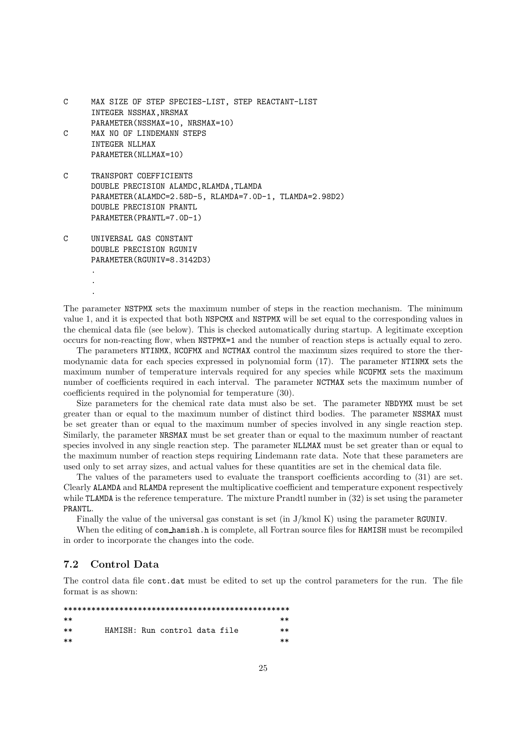```
C MAX SIZE OF STEP SPECIES-LIST, STEP REACTANT-LIST
     INTEGER NSSMAX, NRSMAX
     PARAMETER(NSSMAX=10, NRSMAX=10)
C MAX NO OF LINDEMANN STEPS
     INTEGER NLLMAX
     PARAMETER(NLLMAX=10)
C TRANSPORT COEFFICIENTS
     DOUBLE PRECISION ALAMDC,RLAMDA,TLAMDA
     PARAMETER(ALAMDC=2.58D-5, RLAMDA=7.0D-1, TLAMDA=2.98D2)
     DOUBLE PRECISION PRANTL
     PARAMETER(PRANTL=7.0D-1)
```

```
C UNIVERSAL GAS CONSTANT
     DOUBLE PRECISION RGUNIV
     PARAMETER(RGUNIV=8.3142D3)
```
. . .

The parameter NSTPMX sets the maximum number of steps in the reaction mechanism. The minimum value 1, and it is expected that both NSPCMX and NSTPMX will be set equal to the corresponding values in the chemical data file (see below). This is checked automatically during startup. A legitimate exception occurs for non-reacting flow, when NSTPMX=1 and the number of reaction steps is actually equal to zero.

The parameters NTINMX, NCOFMX and NCTMAX control the maximum sizes required to store the thermodynamic data for each species expressed in polynomial form (17). The parameter NTINMX sets the maximum number of temperature intervals required for any species while NCOFMX sets the maximum number of coefficients required in each interval. The parameter NCTMAX sets the maximum number of coefficients required in the polynomial for temperature (30).

Size parameters for the chemical rate data must also be set. The parameter NBDYMX must be set greater than or equal to the maximum number of distinct third bodies. The parameter NSSMAX must be set greater than or equal to the maximum number of species involved in any single reaction step. Similarly, the parameter NRSMAX must be set greater than or equal to the maximum number of reactant species involved in any single reaction step. The parameter NLLMAX must be set greater than or equal to the maximum number of reaction steps requiring Lindemann rate data. Note that these parameters are used only to set array sizes, and actual values for these quantities are set in the chemical data file.

The values of the parameters used to evaluate the transport coefficients according to (31) are set. Clearly ALAMDA and RLAMDA represent the multiplicative coefficient and temperature exponent respectively while TLAMDA is the reference temperature. The mixture Prandtl number in (32) is set using the parameter PRANTL.

Finally the value of the universal gas constant is set (in J/kmol K) using the parameter RGUNIV.

When the editing of com hamish.h is complete, all Fortran source files for HAMISH must be recompiled in order to incorporate the changes into the code.

### 7.2 Control Data

The control data file cont.dat must be edited to set up the control parameters for the run. The file format is as shown:

```
*************************************************
** ** **** HAMISH: Run control data file **
** ** **
```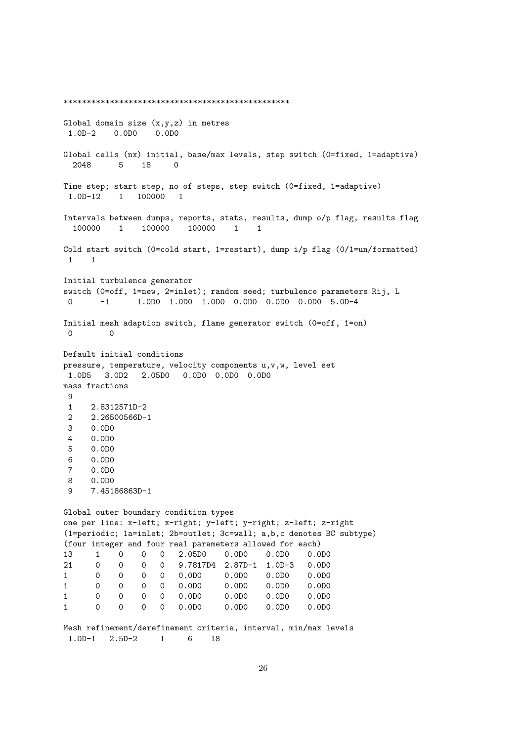\*\*\*\*\*\*\*\*\*\*\*\*\*\*\*\*\*\*\*\*\*\*\*\*\*\*\*\*\*\*\*\*\*\*\*\*\*\*\*\*\*\*\*\*\*\*\*\*\* Global domain size  $(x,y,z)$  in metres 1.0D-2 0.0D0 0.0D0 Global cells (nx) initial, base/max levels, step switch (0=fixed, 1=adaptive) 2048 5 18 0 Time step; start step, no of steps, step switch (0=fixed, 1=adaptive) 1.0D-12 1 100000 1 Intervals between dumps, reports, stats, results, dump o/p flag, results flag 100000 1 100000 100000 1 1 Cold start switch (0=cold start, 1=restart), dump i/p flag (0/1=un/formatted) 1 1 Initial turbulence generator switch (0=off, 1=new, 2=inlet); random seed; turbulence parameters Rij, L 0 -1 1.0D0 1.0D0 1.0D0 0.0D0 0.0D0 0.0D0 5.0D-4 Initial mesh adaption switch, flame generator switch (0=off, 1=on) 0 0 Default initial conditions pressure, temperature, velocity components u,v,w, level set 1.0D5 3.0D2 2.05D0 0.0D0 0.0D0 0.0D0 mass fractions  $\mathsf{Q}$ 1 2.8312571D-2 2 2.26500566D-1 3 0.0D0 4 0.0D0 5 0.0D0 6 0.0D0 7 0.0D0 8 0.0D0 9 7.45186863D-1 Global outer boundary condition types one per line: x-left; x-right; y-left; y-right; z-left; z-right (1=periodic; 1a=inlet; 2b=outlet; 3c=wall; a,b,c denotes BC subtype) (four integer and four real parameters allowed for each) 13 1 0 0 0 2.05D0 0.0D0 0.0D0 0.0D0 21 0 0 0 0 9.7817D4 2.87D-1 1.0D-3 0.0D0 1 0 0 0 0 0.0D0 0.0D0 0.0D0 0.0D0 1 0 0 0 0 0.0D0 0.0D0 0.0D0 0.0D0 1 0 0 0 0 0.0D0 0.0D0 0.0D0 0.0D0 1 0 0 0 0 0.0D0 0.0D0 0.0D0 0.0D0 Mesh refinement/derefinement criteria, interval, min/max levels 1.0D-1 2.5D-2 1 6 18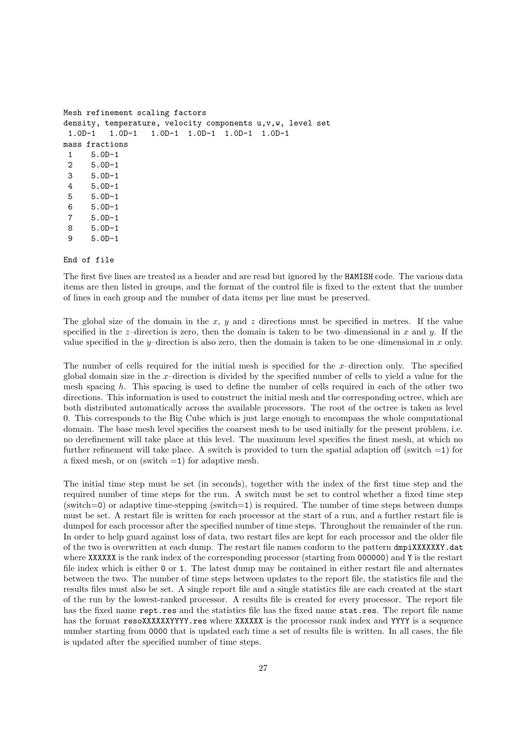```
Mesh refinement scaling factors
density, temperature, velocity components u,v,w, level set
 1.0D-1 1.0D-1 1.0D-1 1.0D-1 1.0D-1 1.0D-1
mass fractions
1 5.0D-1
2 5.0D-1
3 5.0D-1
4 5.0D-1
5 5.0D-1
6 5.0D-1
 7 5.0D-1
8 5.0D-1
9 5.0D-1
```
End of file

The first five lines are treated as a header and are read but ignored by the HAMISH code. The various data items are then listed in groups, and the format of the control file is fixed to the extent that the number of lines in each group and the number of data items per line must be preserved.

The global size of the domain in the x, y and z directions must be specified in metres. If the value specified in the z–direction is zero, then the domain is taken to be two–dimensional in x and y. If the value specified in the y–direction is also zero, then the domain is taken to be one–dimensional in x only.

The number of cells required for the initial mesh is specified for the  $x$ –direction only. The specified global domain size in the  $x$ –direction is divided by the specified number of cells to yield a value for the mesh spacing  $h$ . This spacing is used to define the number of cells required in each of the other two directions. This information is used to construct the initial mesh and the corresponding octree, which are both distributed automatically across the available processors. The root of the octree is taken as level 0. This corresponds to the Big Cube which is just large enough to encompass the whole computational domain. The base mesh level specifies the coarsest mesh to be used initially for the present problem, i.e. no derefinement will take place at this level. The maximum level specifies the finest mesh, at which no further refinement will take place. A switch is provided to turn the spatial adaption off (switch  $=1$ ) for a fixed mesh, or on (switch  $=1$ ) for adaptive mesh.

The initial time step must be set (in seconds), together with the index of the first time step and the required number of time steps for the run. A switch must be set to control whether a fixed time step (switch=0) or adaptive time-stepping (switch=1) is required. The number of time steps between dumps must be set. A restart file is written for each processor at the start of a run, and a further restart file is dumped for each processor after the specified number of time steps. Throughout the remainder of the run. In order to help guard against loss of data, two restart files are kept for each processor and the older file of the two is overwritten at each dump. The restart file names conform to the pattern dmpiXXXXXXY.dat where XXXXXX is the rank index of the corresponding processor (starting from 000000) and Y is the restart file index which is either 0 or 1. The latest dump may be contained in either restart file and alternates between the two. The number of time steps between updates to the report file, the statistics file and the results files must also be set. A single report file and a single statistics file are each created at the start of the run by the lowest-ranked processor. A results file is created for every processor. The report file has the fixed name rept.res and the statistics file has the fixed name stat.res. The report file name has the format resoXXXXXXYYYY.res where XXXXXX is the processor rank index and YYYY is a sequence number starting from 0000 that is updated each time a set of results file is written. In all cases, the file is updated after the specified number of time steps.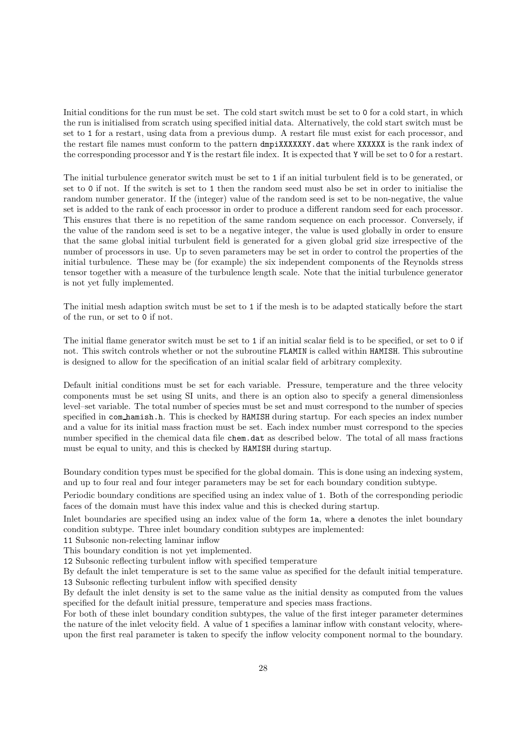Initial conditions for the run must be set. The cold start switch must be set to 0 for a cold start, in which the run is initialised from scratch using specified initial data. Alternatively, the cold start switch must be set to 1 for a restart, using data from a previous dump. A restart file must exist for each processor, and the restart file names must conform to the pattern dmpiXXXXXXY.dat where XXXXXX is the rank index of the corresponding processor and Y is the restart file index. It is expected that Y will be set to 0 for a restart.

The initial turbulence generator switch must be set to 1 if an initial turbulent field is to be generated, or set to 0 if not. If the switch is set to 1 then the random seed must also be set in order to initialise the random number generator. If the (integer) value of the random seed is set to be non-negative, the value set is added to the rank of each processor in order to produce a different random seed for each processor. This ensures that there is no repetition of the same random sequence on each processor. Conversely, if the value of the random seed is set to be a negative integer, the value is used globally in order to ensure that the same global initial turbulent field is generated for a given global grid size irrespective of the number of processors in use. Up to seven parameters may be set in order to control the properties of the initial turbulence. These may be (for example) the six independent components of the Reynolds stress tensor together with a measure of the turbulence length scale. Note that the initial turbulence generator is not yet fully implemented.

The initial mesh adaption switch must be set to 1 if the mesh is to be adapted statically before the start of the run, or set to 0 if not.

The initial flame generator switch must be set to 1 if an initial scalar field is to be specified, or set to 0 if not. This switch controls whether or not the subroutine FLAMIN is called within HAMISH. This subroutine is designed to allow for the specification of an initial scalar field of arbitrary complexity.

Default initial conditions must be set for each variable. Pressure, temperature and the three velocity components must be set using SI units, and there is an option also to specify a general dimensionless level–set variable. The total number of species must be set and must correspond to the number of species specified in com hamish.h. This is checked by HAMISH during startup. For each species an index number and a value for its initial mass fraction must be set. Each index number must correspond to the species number specified in the chemical data file chem.dat as described below. The total of all mass fractions must be equal to unity, and this is checked by HAMISH during startup.

Boundary condition types must be specified for the global domain. This is done using an indexing system, and up to four real and four integer parameters may be set for each boundary condition subtype.

Periodic boundary conditions are specified using an index value of 1. Both of the corresponding periodic faces of the domain must have this index value and this is checked during startup.

Inlet boundaries are specified using an index value of the form 1a, where a denotes the inlet boundary condition subtype. Three inlet boundary condition subtypes are implemented:

11 Subsonic non-relecting laminar inflow

This boundary condition is not yet implemented.

12 Subsonic reflecting turbulent inflow with specified temperature

By default the inlet temperature is set to the same value as specified for the default initial temperature. 13 Subsonic reflecting turbulent inflow with specified density

By default the inlet density is set to the same value as the initial density as computed from the values specified for the default initial pressure, temperature and species mass fractions.

For both of these inlet boundary condition subtypes, the value of the first integer parameter determines the nature of the inlet velocity field. A value of 1 specifies a laminar inflow with constant velocity, whereupon the first real parameter is taken to specify the inflow velocity component normal to the boundary.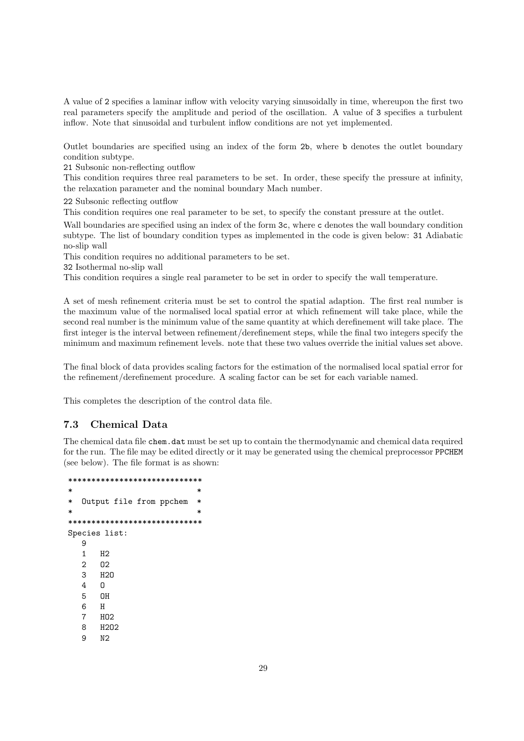A value of 2 specifies a laminar inflow with velocity varying sinusoidally in time, whereupon the first two real parameters specify the amplitude and period of the oscillation. A value of 3 specifies a turbulent inflow. Note that sinusoidal and turbulent inflow conditions are not yet implemented.

Outlet boundaries are specified using an index of the form 2b, where b denotes the outlet boundary condition subtype.

21 Subsonic non-reflecting outflow

This condition requires three real parameters to be set. In order, these specify the pressure at infinity, the relaxation parameter and the nominal boundary Mach number.

22 Subsonic reflecting outflow

This condition requires one real parameter to be set, to specify the constant pressure at the outlet.

Wall boundaries are specified using an index of the form  $3c$ , where c denotes the wall boundary condition subtype. The list of boundary condition types as implemented in the code is given below: 31 Adiabatic no-slip wall

This condition requires no additional parameters to be set.

32 Isothermal no-slip wall

This condition requires a single real parameter to be set in order to specify the wall temperature.

A set of mesh refinement criteria must be set to control the spatial adaption. The first real number is the maximum value of the normalised local spatial error at which refinement will take place, while the second real number is the minimum value of the same quantity at which derefinement will take place. The first integer is the interval between refinement/derefinement steps, while the final two integers specify the minimum and maximum refinement levels. note that these two values override the initial values set above.

The final block of data provides scaling factors for the estimation of the normalised local spatial error for the refinement/derefinement procedure. A scaling factor can be set for each variable named.

This completes the description of the control data file.

### 7.3 Chemical Data

The chemical data file chem.dat must be set up to contain the thermodynamic and chemical data required for the run. The file may be edited directly or it may be generated using the chemical preprocessor PPCHEM (see below). The file format is as shown:

```
*****************************
\starOutput file from ppchem *
\star*****************************
Species list:
  9
  1 H2
  2 O2
  3 H<sub>2</sub><sup>3</sup>
  4 O
  5 OH
  6 H
  7 HO2
  8 H2O2
  9 N2
```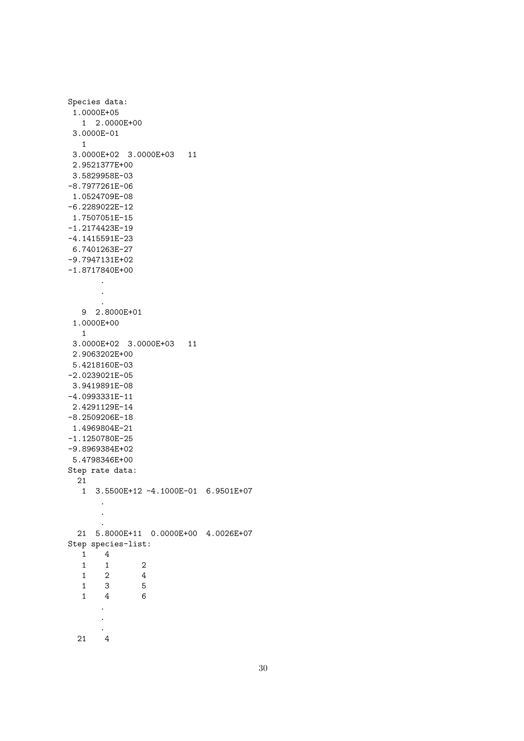```
Species data:
 1.0000E+05
  1 2.0000E+00
 3.0000E-01
 1
 3.0000E+02 3.0000E+03 11
 2.9521377E+00
3.5829958E-03
-8.7977261E-06
1.0524709E-08
-6.2289022E-12
1.7507051E-15
-1.2174423E-19
-4.1415591E-23
6.7401263E-27
-9.7947131E+02
-1.8717840E+00
      .
      .
       .
  9 2.8000E+01
 1.0000E+00
 1
 3.0000E+02 3.0000E+03 11
 2.9063202E+00
5.4218160E-03
-2.0239021E-05
3.9419891E-08
-4.0993331E-11
2.4291129E-14
-8.2509206E-18
1.4969804E-21
-1.1250780E-25
-9.8969384E+02
5.4798346E+00
Step rate data:
 21
  1 3.5500E+12 -4.1000E-01 6.9501E+07
       .
      .
       .
  21 5.8000E+11 0.0000E+00 4.0026E+07
Step species-list:
  1 4
  1 \qquad 1 \qquad \qquad 21 2 4
   1 3 5
   1 4 6
       .
      .
       .
  21 4
```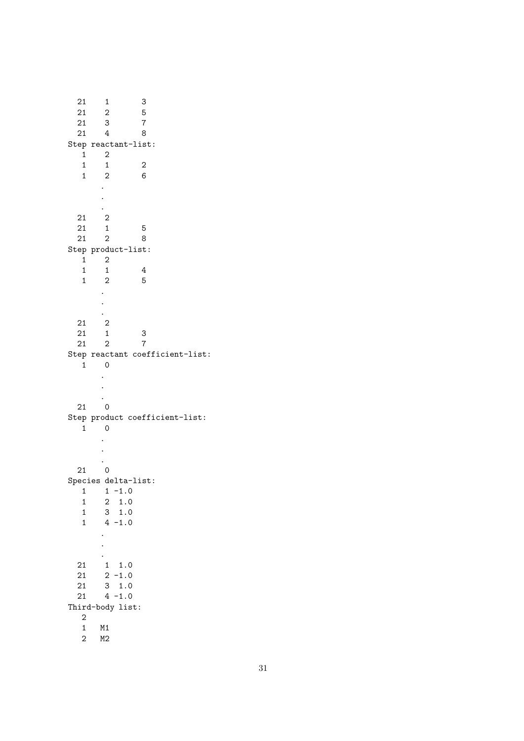21 1 3 21 2 5 21 3 7  $21$  3  $\frac{1}{21}$  4 8 Step reactant-list: 1 2  $\begin{array}{cccc} 1 & 1 & 2 \\ 1 & 2 & 6 \end{array}$ 1 2 . . . 21 2 21 1 5 21 2 8 Step product-list: 1 2  $\begin{array}{cccc} 1 & 1 & 4 \\ 1 & 2 & 5 \end{array}$  $\frac{1}{1}$  2 5 . . . 21 2 21 1 3 21 2 7 Step reactant coefficient-list: 1 0 . . . 21 0 Step product coefficient-list: 1 0 . . . 21 0 Species delta-list:  $1 \t-1.0$ 1 2 1.0 1 3 1.0  $1 \t 4 -1.0$ . . . 21 1 1.0  $21 \t 2 -1.0$ 21 3 1.0  $21 \t 4 -1.0$ Third-body list: 2 1 M1 2 M2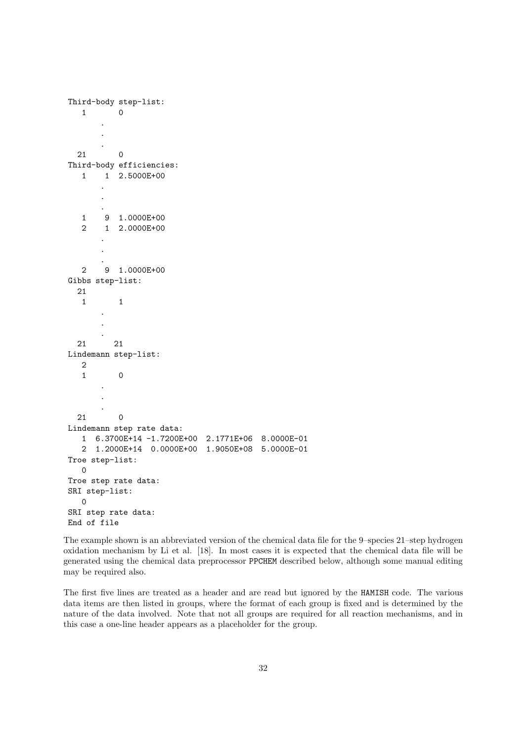```
Third-body step-list:
  1 0
      .
      .
      .
 21 0
Third-body efficiencies:
  1 1 2.5000E+00
      .
      .
      .
  1 9 1.0000E+00
  2 1 2.0000E+00
      .
      .
      .
  2 9 1.0000E+00
Gibbs step-list:
 21
  1 1
      .
      .
      .
 21 21
Lindemann step-list:
  2
  1 0
      .
      .
      .
 21 0
Lindemann step rate data:
  1 6.3700E+14 -1.7200E+00 2.1771E+06 8.0000E-01
  2 1.2000E+14 0.0000E+00 1.9050E+08 5.0000E-01
Troe step-list:
  0
Troe step rate data:
SRI step-list:
  0
SRI step rate data:
End of file
```
The example shown is an abbreviated version of the chemical data file for the 9–species 21–step hydrogen oxidation mechanism by Li et al. [18]. In most cases it is expected that the chemical data file will be generated using the chemical data preprocessor PPCHEM described below, although some manual editing may be required also.

The first five lines are treated as a header and are read but ignored by the HAMISH code. The various data items are then listed in groups, where the format of each group is fixed and is determined by the nature of the data involved. Note that not all groups are required for all reaction mechanisms, and in this case a one-line header appears as a placeholder for the group.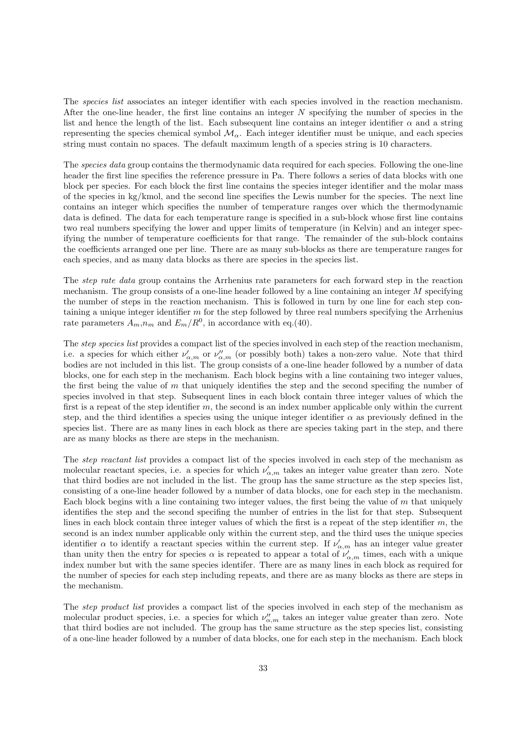The *species list* associates an integer identifier with each species involved in the reaction mechanism. After the one-line header, the first line contains an integer  $N$  specifying the number of species in the list and hence the length of the list. Each subsequent line contains an integer identifier  $\alpha$  and a string representing the species chemical symbol  $\mathcal{M}_{\alpha}$ . Each integer identifier must be unique, and each species string must contain no spaces. The default maximum length of a species string is 10 characters.

The species data group contains the thermodynamic data required for each species. Following the one-line header the first line specifies the reference pressure in Pa. There follows a series of data blocks with one block per species. For each block the first line contains the species integer identifier and the molar mass of the species in kg/kmol, and the second line specifies the Lewis number for the species. The next line contains an integer which specifies the number of temperature ranges over which the thermodynamic data is defined. The data for each temperature range is specified in a sub-block whose first line contains two real numbers specifying the lower and upper limits of temperature (in Kelvin) and an integer specifying the number of temperature coefficients for that range. The remainder of the sub-block contains the coefficients arranged one per line. There are as many sub-blocks as there are temperature ranges for each species, and as many data blocks as there are species in the species list.

The *step rate data* group contains the Arrhenius rate parameters for each forward step in the reaction mechanism. The group consists of a one-line header followed by a line containing an integer M specifying the number of steps in the reaction mechanism. This is followed in turn by one line for each step containing a unique integer identifier m for the step followed by three real numbers specifying the Arrhenius rate parameters  $A_m$ ,  $n_m$  and  $E_m/R^0$ , in accordance with eq.(40).

The *step species list* provides a compact list of the species involved in each step of the reaction mechanism, i.e. a species for which either  $\nu'_{\alpha,m}$  or  $\nu''_{\alpha,m}$  (or possibly both) takes a non-zero value. Note that third bodies are not included in this list. The group consists of a one-line header followed by a number of data blocks, one for each step in the mechanism. Each block begins with a line containing two integer values, the first being the value of  $m$  that uniquely identifies the step and the second specifing the number of species involved in that step. Subsequent lines in each block contain three integer values of which the first is a repeat of the step identifier m, the second is an index number applicable only within the current step, and the third identifies a species using the unique integer identifier  $\alpha$  as previously defined in the species list. There are as many lines in each block as there are species taking part in the step, and there are as many blocks as there are steps in the mechanism.

The step reactant list provides a compact list of the species involved in each step of the mechanism as molecular reactant species, i.e. a species for which  $\nu'_{\alpha,m}$  takes an integer value greater than zero. Note that third bodies are not included in the list. The group has the same structure as the step species list, consisting of a one-line header followed by a number of data blocks, one for each step in the mechanism. Each block begins with a line containing two integer values, the first being the value of  $m$  that uniquely identifies the step and the second specifing the number of entries in the list for that step. Subsequent lines in each block contain three integer values of which the first is a repeat of the step identifier m, the second is an index number applicable only within the current step, and the third uses the unique species identifier  $\alpha$  to identify a reactant species within the current step. If  $\nu'_{\alpha,m}$  has an integer value greater than unity then the entry for species  $\alpha$  is repeated to appear a total of  $\nu'_{\alpha,m}$  times, each with a unique index number but with the same species identifer. There are as many lines in each block as required for the number of species for each step including repeats, and there are as many blocks as there are steps in the mechanism.

The *step product list* provides a compact list of the species involved in each step of the mechanism as molecular product species, i.e. a species for which  $\nu''_{\alpha,m}$  takes an integer value greater than zero. Note that third bodies are not included. The group has the same structure as the step species list, consisting of a one-line header followed by a number of data blocks, one for each step in the mechanism. Each block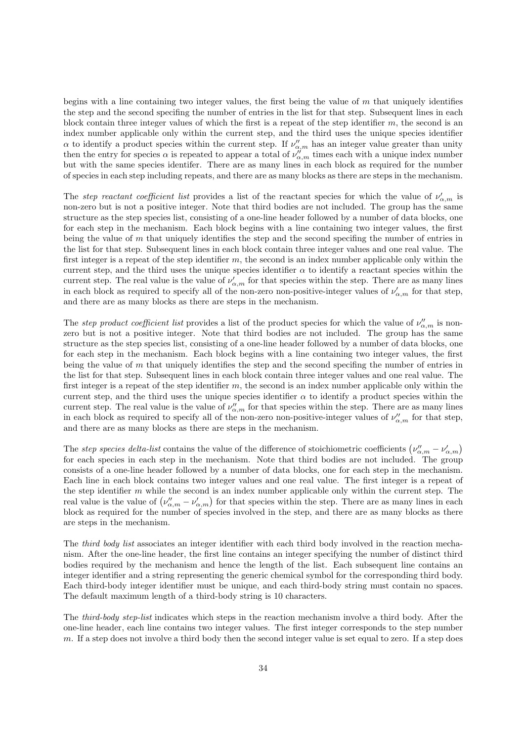begins with a line containing two integer values, the first being the value of  $m$  that uniquely identifies the step and the second specifing the number of entries in the list for that step. Subsequent lines in each block contain three integer values of which the first is a repeat of the step identifier  $m$ , the second is an index number applicable only within the current step, and the third uses the unique species identifier  $\alpha$  to identify a product species within the current step. If  $\nu''_{\alpha,m}$  has an integer value greater than unity then the entry for species  $\alpha$  is repeated to appear a total of  $\nu''_{\alpha,m}$  times each with a unique index number but with the same species identifer. There are as many lines in each block as required for the number of species in each step including repeats, and there are as many blocks as there are steps in the mechanism.

The step reactant coefficient list provides a list of the reactant species for which the value of  $\nu'_{\alpha,m}$  is non-zero but is not a positive integer. Note that third bodies are not included. The group has the same structure as the step species list, consisting of a one-line header followed by a number of data blocks, one for each step in the mechanism. Each block begins with a line containing two integer values, the first being the value of  $m$  that uniquely identifies the step and the second specifing the number of entries in the list for that step. Subsequent lines in each block contain three integer values and one real value. The first integer is a repeat of the step identifier m, the second is an index number applicable only within the current step, and the third uses the unique species identifier  $\alpha$  to identify a reactant species within the current step. The real value is the value of  $\nu'_{\alpha,m}$  for that species within the step. There are as many lines in each block as required to specify all of the non-zero non-positive-integer values of  $\nu'_{\alpha,m}$  for that step, and there are as many blocks as there are steps in the mechanism.

The step product coefficient list provides a list of the product species for which the value of  $\nu''_{\alpha,m}$  is nonzero but is not a positive integer. Note that third bodies are not included. The group has the same structure as the step species list, consisting of a one-line header followed by a number of data blocks, one for each step in the mechanism. Each block begins with a line containing two integer values, the first being the value of  $m$  that uniquely identifies the step and the second specifing the number of entries in the list for that step. Subsequent lines in each block contain three integer values and one real value. The first integer is a repeat of the step identifier m, the second is an index number applicable only within the current step, and the third uses the unique species identifier  $\alpha$  to identify a product species within the current step. The real value is the value of  $\nu''_{\alpha,m}$  for that species within the step. There are as many lines in each block as required to specify all of the non-zero non-positive-integer values of  $\nu''_{\alpha,m}$  for that step, and there are as many blocks as there are steps in the mechanism.

The step species delta-list contains the value of the difference of stoichiometric coefficients  $(\nu''_{\alpha,m} - \nu'_{\alpha,m})$ for each species in each step in the mechanism. Note that third bodies are not included. The group consists of a one-line header followed by a number of data blocks, one for each step in the mechanism. Each line in each block contains two integer values and one real value. The first integer is a repeat of the step identifier  $m$  while the second is an index number applicable only within the current step. The real value is the value of  $(\nu''_{\alpha,m} - \nu'_{\alpha,m})$  for that species within the step. There are as many lines in each block as required for the number of species involved in the step, and there are as many blocks as there are steps in the mechanism.

The *third body list* associates an integer identifier with each third body involved in the reaction mechanism. After the one-line header, the first line contains an integer specifying the number of distinct third bodies required by the mechanism and hence the length of the list. Each subsequent line contains an integer identifier and a string representing the generic chemical symbol for the corresponding third body. Each third-body integer identifier must be unique, and each third-body string must contain no spaces. The default maximum length of a third-body string is 10 characters.

The third-body step-list indicates which steps in the reaction mechanism involve a third body. After the one-line header, each line contains two integer values. The first integer corresponds to the step number m. If a step does not involve a third body then the second integer value is set equal to zero. If a step does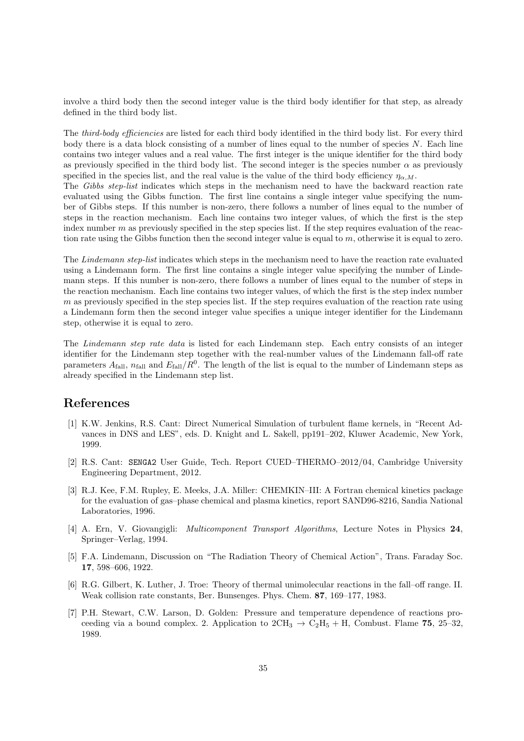involve a third body then the second integer value is the third body identifier for that step, as already defined in the third body list.

The *third-body efficiencies* are listed for each third body identified in the third body list. For every third body there is a data block consisting of a number of lines equal to the number of species  $N$ . Each line contains two integer values and a real value. The first integer is the unique identifier for the third body as previously specified in the third body list. The second integer is the species number  $\alpha$  as previously specified in the species list, and the real value is the value of the third body efficiency  $\eta_{\alpha,M}$ .

The Gibbs step-list indicates which steps in the mechanism need to have the backward reaction rate evaluated using the Gibbs function. The first line contains a single integer value specifying the number of Gibbs steps. If this number is non-zero, there follows a number of lines equal to the number of steps in the reaction mechanism. Each line contains two integer values, of which the first is the step index number  $m$  as previously specified in the step species list. If the step requires evaluation of the reaction rate using the Gibbs function then the second integer value is equal to  $m$ , otherwise it is equal to zero.

The Lindemann step-list indicates which steps in the mechanism need to have the reaction rate evaluated using a Lindemann form. The first line contains a single integer value specifying the number of Lindemann steps. If this number is non-zero, there follows a number of lines equal to the number of steps in the reaction mechanism. Each line contains two integer values, of which the first is the step index number  $m$  as previously specified in the step species list. If the step requires evaluation of the reaction rate using a Lindemann form then the second integer value specifies a unique integer identifier for the Lindemann step, otherwise it is equal to zero.

The Lindemann step rate data is listed for each Lindemann step. Each entry consists of an integer identifier for the Lindemann step together with the real-number values of the Lindemann fall-off rate parameters  $A_{\text{fall}}$ ,  $n_{\text{fall}}$  and  $E_{\text{fall}}/R^0$ . The length of the list is equal to the number of Lindemann steps as already specified in the Lindemann step list.

# References

- [1] K.W. Jenkins, R.S. Cant: Direct Numerical Simulation of turbulent flame kernels, in "Recent Advances in DNS and LES", eds. D. Knight and L. Sakell, pp191–202, Kluwer Academic, New York, 1999.
- [2] R.S. Cant: SENGA2 User Guide, Tech. Report CUED–THERMO–2012/04, Cambridge University Engineering Department, 2012.
- [3] R.J. Kee, F.M. Rupley, E. Meeks, J.A. Miller: CHEMKIN–III: A Fortran chemical kinetics package for the evaluation of gas–phase chemical and plasma kinetics, report SAND96-8216, Sandia National Laboratories, 1996.
- [4] A. Ern, V. Giovangigli: Multicomponent Transport Algorithms, Lecture Notes in Physics 24, Springer–Verlag, 1994.
- [5] F.A. Lindemann, Discussion on "The Radiation Theory of Chemical Action", Trans. Faraday Soc. 17, 598–606, 1922.
- [6] R.G. Gilbert, K. Luther, J. Troe: Theory of thermal unimolecular reactions in the fall–off range. II. Weak collision rate constants, Ber. Bunsenges. Phys. Chem. 87, 169–177, 1983.
- [7] P.H. Stewart, C.W. Larson, D. Golden: Pressure and temperature dependence of reactions proceeding via a bound complex. 2. Application to  $2CH_3 \rightarrow C_2H_5 + H$ , Combust. Flame 75, 25–32, 1989.